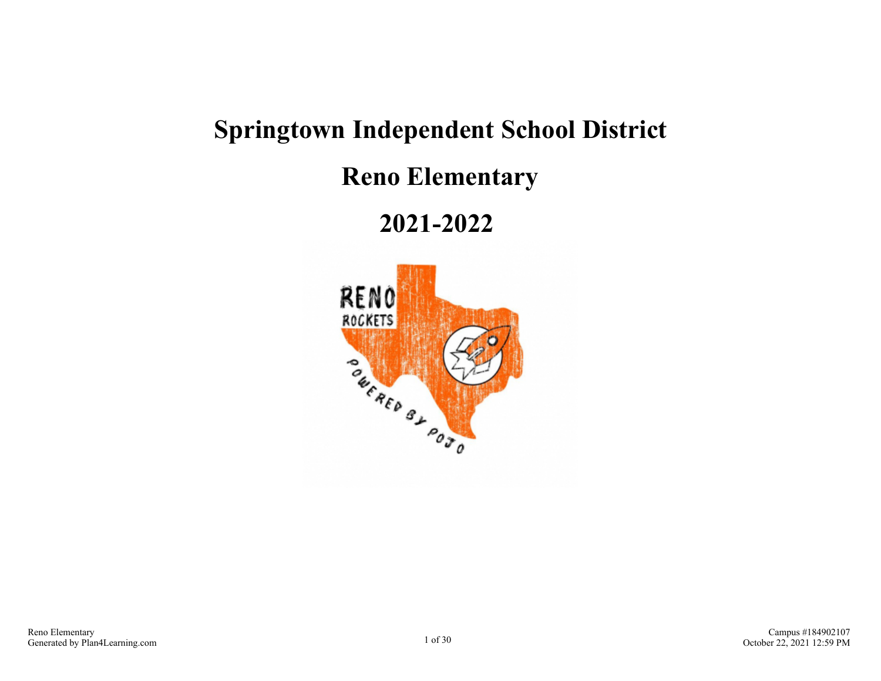# **Springtown Independent School District**

**Reno Elementary**

**2021-2022** 

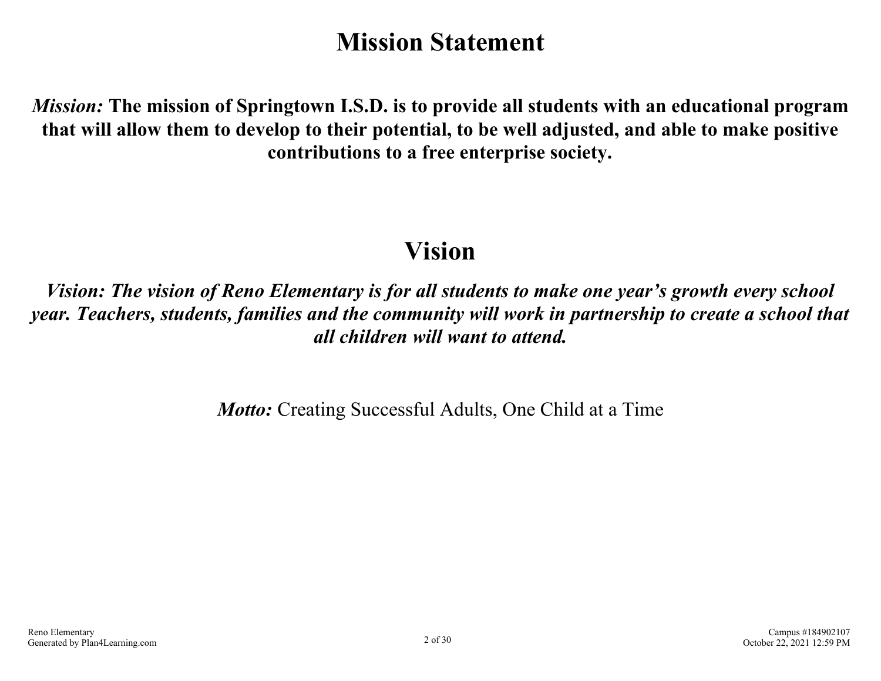# **Mission Statement**

*Mission:* **The mission of Springtown I.S.D. is to provide all students with an educational program that will allow them to develop to their potential, to be well adjusted, and able to make positive contributions to a free enterprise society.**

# **Vision**

*Vision: The vision of Reno Elementary is for all students to make one year's growth every school year. Teachers, students, families and the community will work in partnership to create a school that all children will want to attend.*

*Motto:* Creating Successful Adults, One Child at a Time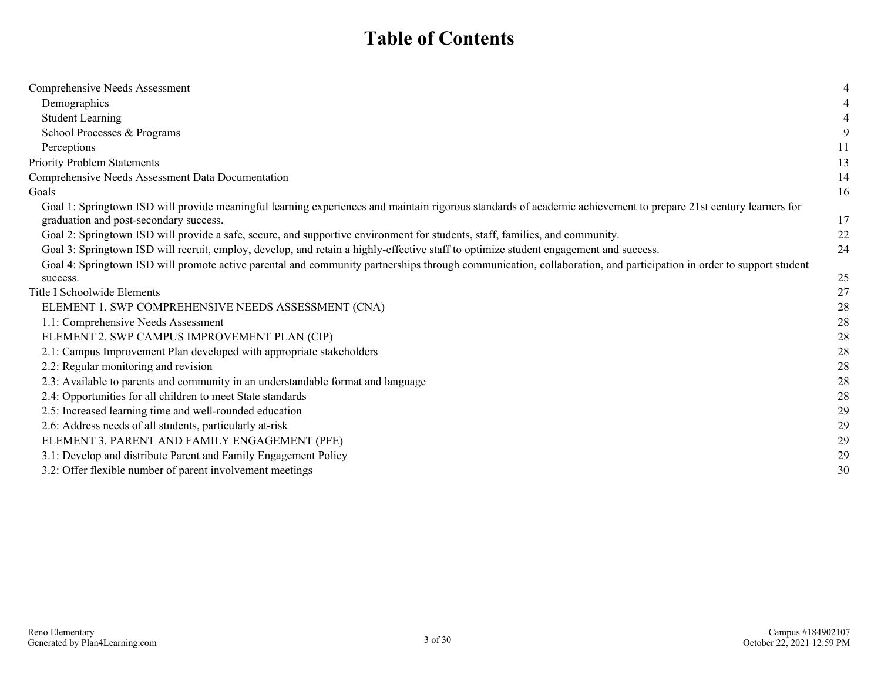# **Table of Contents**

| Comprehensive Needs Assessment                                                                                                                                     |    |
|--------------------------------------------------------------------------------------------------------------------------------------------------------------------|----|
| Demographics                                                                                                                                                       |    |
| <b>Student Learning</b>                                                                                                                                            |    |
| School Processes & Programs                                                                                                                                        | 9  |
| Perceptions                                                                                                                                                        | 11 |
| Priority Problem Statements                                                                                                                                        | 13 |
| Comprehensive Needs Assessment Data Documentation                                                                                                                  | 14 |
| Goals                                                                                                                                                              | 16 |
| Goal 1: Springtown ISD will provide meaningful learning experiences and maintain rigorous standards of academic achievement to prepare 21st century learners for   |    |
| graduation and post-secondary success.                                                                                                                             | 17 |
| Goal 2: Springtown ISD will provide a safe, secure, and supportive environment for students, staff, families, and community.                                       | 22 |
| Goal 3: Springtown ISD will recruit, employ, develop, and retain a highly-effective staff to optimize student engagement and success.                              | 24 |
| Goal 4: Springtown ISD will promote active parental and community partnerships through communication, collaboration, and participation in order to support student |    |
| success.                                                                                                                                                           | 25 |
| Title I Schoolwide Elements                                                                                                                                        | 27 |
| ELEMENT 1. SWP COMPREHENSIVE NEEDS ASSESSMENT (CNA)                                                                                                                | 28 |
| 1.1: Comprehensive Needs Assessment                                                                                                                                | 28 |
| ELEMENT 2. SWP CAMPUS IMPROVEMENT PLAN (CIP)                                                                                                                       | 28 |
| 2.1: Campus Improvement Plan developed with appropriate stakeholders                                                                                               | 28 |
| 2.2: Regular monitoring and revision                                                                                                                               | 28 |
| 2.3: Available to parents and community in an understandable format and language                                                                                   | 28 |
| 2.4: Opportunities for all children to meet State standards                                                                                                        | 28 |
| 2.5: Increased learning time and well-rounded education                                                                                                            | 29 |
| 2.6: Address needs of all students, particularly at-risk                                                                                                           | 29 |
| ELEMENT 3. PARENT AND FAMILY ENGAGEMENT (PFE)                                                                                                                      | 29 |
| 3.1: Develop and distribute Parent and Family Engagement Policy                                                                                                    | 29 |
| 3.2: Offer flexible number of parent involvement meetings                                                                                                          | 30 |
|                                                                                                                                                                    |    |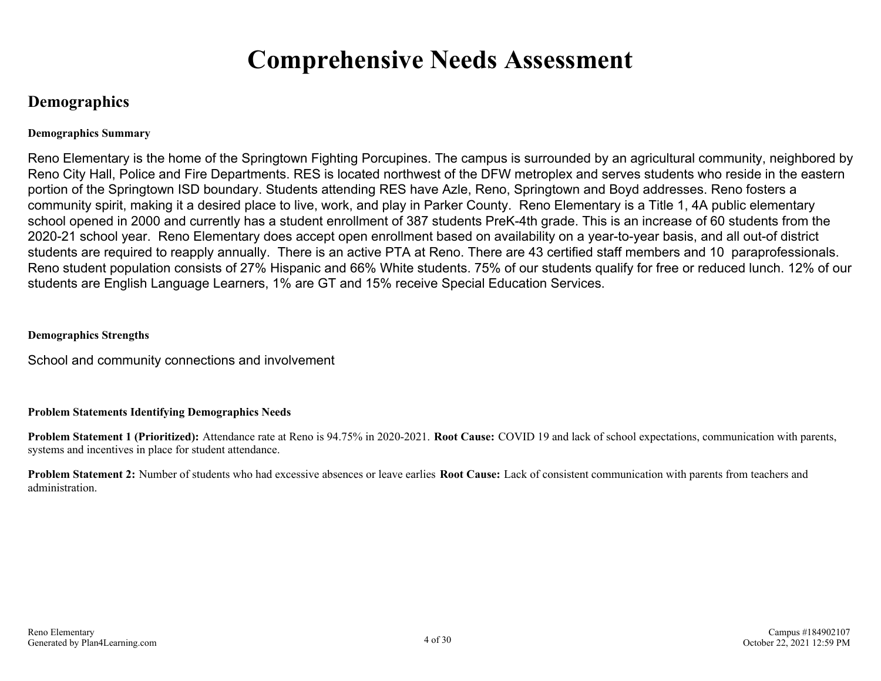# **Comprehensive Needs Assessment**

## **Demographics**

#### **Demographics Summary**

Reno Elementary is the home of the Springtown Fighting Porcupines. The campus is surrounded by an agricultural community, neighbored by Reno City Hall, Police and Fire Departments. RES is located northwest of the DFW metroplex and serves students who reside in the eastern portion of the Springtown ISD boundary. Students attending RES have Azle, Reno, Springtown and Boyd addresses. Reno fosters a community spirit, making it a desired place to live, work, and play in Parker County. Reno Elementary is a Title 1, 4A public elementary school opened in 2000 and currently has a student enrollment of 387 students PreK-4th grade. This is an increase of 60 students from the 2020-21 school year. Reno Elementary does accept open enrollment based on availability on a year-to-year basis, and all out-of district students are required to reapply annually. There is an active PTA at Reno. There are 43 certified staff members and 10 paraprofessionals. Reno student population consists of 27% Hispanic and 66% White students. 75% of our students qualify for free or reduced lunch. 12% of our students are English Language Learners, 1% are GT and 15% receive Special Education Services.

#### **Demographics Strengths**

School and community connections and involvement

#### **Problem Statements Identifying Demographics Needs**

**Problem Statement 1 (Prioritized):** Attendance rate at Reno is 94.75% in 2020-2021. **Root Cause:** COVID 19 and lack of school expectations, communication with parents, systems and incentives in place for student attendance.

**Problem Statement 2:** Number of students who had excessive absences or leave earlies **Root Cause:** Lack of consistent communication with parents from teachers and administration.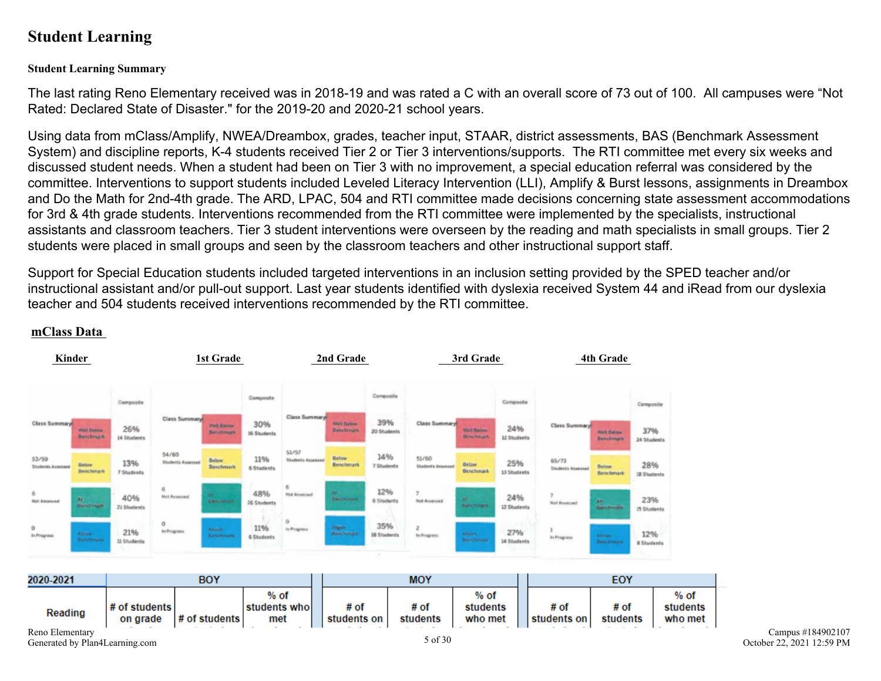## **Student Learning**

#### **Student Learning Summary**

The last rating Reno Elementary received was in 2018-19 and was rated a C with an overall score of 73 out of 100. All campuses were "Not Rated: Declared State of Disaster." for the 2019-20 and 2020-21 school years.

Using data from mClass/Amplify, NWEA/Dreambox, grades, teacher input, STAAR, district assessments, BAS (Benchmark Assessment System) and discipline reports, K-4 students received Tier 2 or Tier 3 interventions/supports. The RTI committee met every six weeks and discussed student needs. When a student had been on Tier 3 with no improvement, a special education referral was considered by the committee. Interventions to support students included Leveled Literacy Intervention (LLI), Amplify & Burst lessons, assignments in Dreambox and Do the Math for 2nd-4th grade. The ARD, LPAC, 504 and RTI committee made decisions concerning state assessment accommodations for 3rd & 4th grade students. Interventions recommended from the RTI committee were implemented by the specialists, instructional assistants and classroom teachers. Tier 3 student interventions were overseen by the reading and math specialists in small groups. Tier 2 students were placed in small groups and seen by the classroom teachers and other instructional support staff.

Support for Special Education students included targeted interventions in an inclusion setting provided by the SPED teacher and/or instructional assistant and/or pull-out support. Last year students identified with dyslexia received System 44 and iRead from our dyslexia teacher and 504 students received interventions recommended by the RTI committee.



#### **mClass Data**

Reno Elementary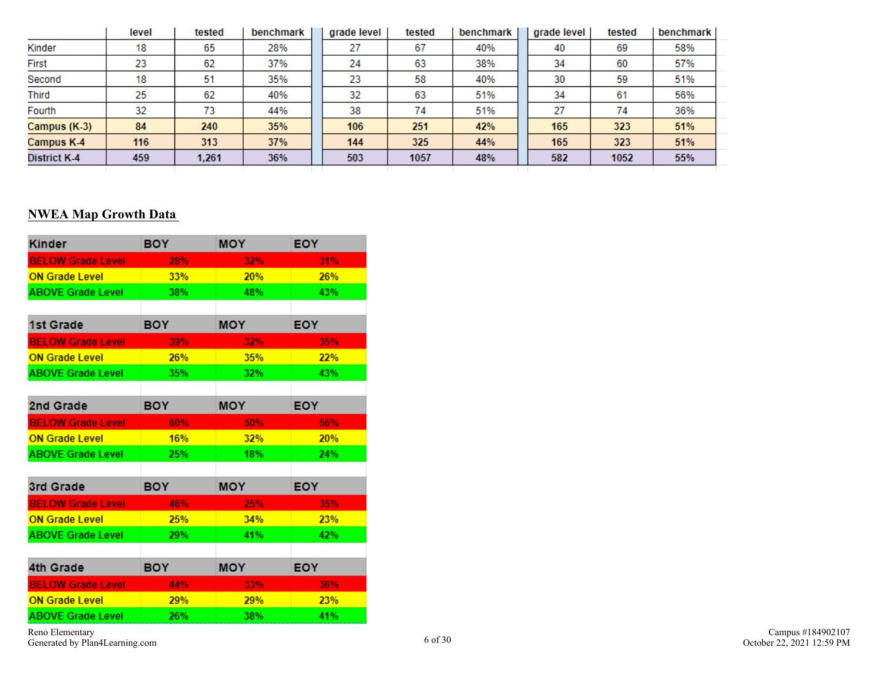|                     | level | tested | benchmark | grade level | tested | benchmark | grade level | tested | benchmark |
|---------------------|-------|--------|-----------|-------------|--------|-----------|-------------|--------|-----------|
| Kinder              | 18    | 65     | 28%       | 27          | 67     | 40%       | 40          | 69     | 58%       |
| First               | 23    | 62     | 37%       | 24          | 63     | 38%       | 34          | 60     | 57%       |
| Second              | 18    | 51     | 35%       | 23          | 58     | 40%       | 30          | 59     | 51%       |
| <b>Third</b>        | 25    | 62     | 40%       | 32          | 63     | 51%       | 34          | 61     | 56%       |
| Fourth              | 32    | 73     | 44%       | 38          | 74     | 51%       | 27          | 74     | 36%       |
| Campus (K-3)        | 84    | 240    | 35%       | 106         | 251    | 42%       | 165         | 323    | 51%       |
| Campus K-4          | 116   | 313    | 37%       | 144         | 325    | 44%       | 165         | 323    | 51%       |
| <b>District K-4</b> | 459   | 1,261  | 36%       | 503         | 1057   | 48%       | 582         | 1052   | 55%       |
|                     |       |        |           |             |        |           |             |        |           |

### **NWEA Map Growth Data**

| <b>Kinder</b>            | <b>BOY</b> | <b>MOY</b> | <b>EOY</b> |
|--------------------------|------------|------------|------------|
| <b>BELOW Grade Level</b> | 28%        | 32%        | 31%        |
| <b>ON Grade Level</b>    | 33%        | 20%        | 26%        |
| <b>ABOVE Grade Level</b> | 38%        | 48%        | 43%        |
|                          |            |            |            |
| 1st Grade                | BOY.       | <b>MOY</b> | EOY.       |
| <b>BELOW Grade Level</b> | 39%        | 32%        | 35%        |
| <b>ON Grade Level</b>    | 26%        | 35%        | 22%        |
| <b>ABOVE Grade Level</b> | 35%        | 32%        | 43%        |
|                          |            |            |            |
| 2nd Grade                | <b>BOY</b> | <b>MOY</b> | <b>EOY</b> |
| <b>BELOW Grade Level</b> | 60%        | 50%        | 56%        |
| <b>ON Grade Level</b>    | <b>16%</b> | 32%        | 20%        |
| <b>ABOVE Grade Level</b> | 25%        | 18%        | 24%        |
|                          |            |            |            |
| 3rd Grade                | <b>BOY</b> | <b>MOY</b> | <b>EOY</b> |
| <b>BELOW Grade Level</b> | 46%        | 25%        | 35%        |
| <b>ON Grade Level</b>    | 25%        | 34%        | 23%        |
| <b>ABOVE Grade Level</b> | 29%        | 41%        | 42%        |
|                          |            |            |            |
| <b>4th Grade</b>         | <b>BOY</b> | <b>MOY</b> | <b>EOY</b> |
| <b>BELOW Grade Level</b> | 44%        | 33%        | 36%        |
| <b>ON Grade Level</b>    | 29%        | 29%        | 23%        |
| <b>ABOVE Grade Level</b> | 26%        | 38%        | 41%        |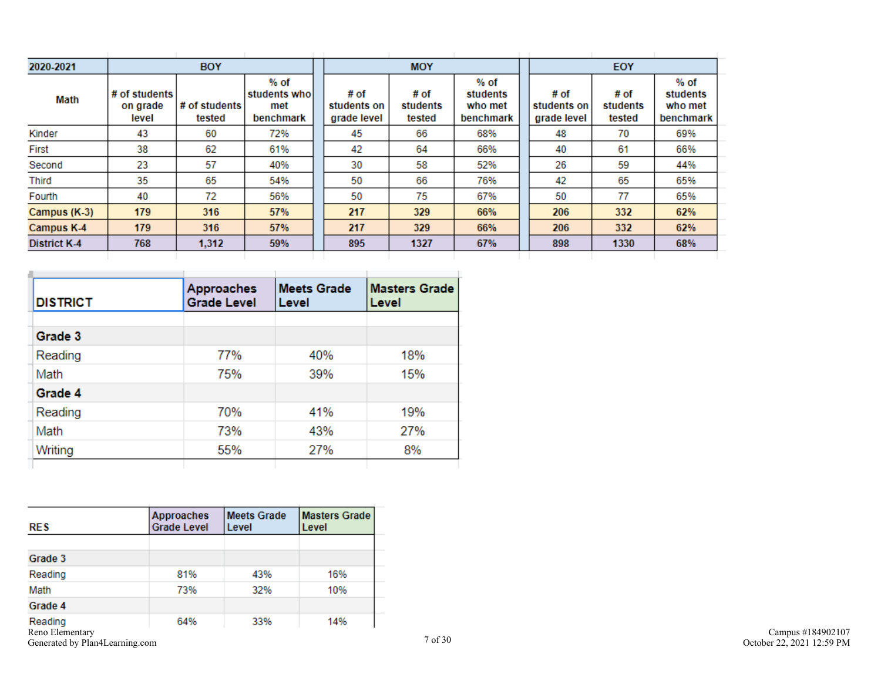| 2020-2021           | <b>BOY</b>                         |                         |                                           | <b>MOY</b>                         |                            |                                          | EOY                                |                            |                                            |  |
|---------------------|------------------------------------|-------------------------|-------------------------------------------|------------------------------------|----------------------------|------------------------------------------|------------------------------------|----------------------------|--------------------------------------------|--|
| Math                | # of students<br>on grade<br>level | # of students<br>tested | % of<br>students whol<br>met<br>benchmark | # of<br>students on<br>grade level | # of<br>students<br>tested | % of<br>students<br>who met<br>benchmark | # of<br>students on<br>grade level | # of<br>students<br>tested | $%$ of<br>students<br>who met<br>benchmark |  |
| Kinder              | 43                                 | 60                      | 72%                                       | 45                                 | 66                         | 68%                                      | 48                                 | 70                         | 69%                                        |  |
| First               | 38                                 | 62                      | 61%                                       | 42                                 | 64                         | 66%                                      | 40                                 | 61                         | 66%                                        |  |
| Second              | 23                                 | 57                      | 40%                                       | 30                                 | 58                         | 52%                                      | 26                                 | 59                         | 44%                                        |  |
| Third               | 35                                 | 65                      | 54%                                       | 50                                 | 66                         | 76%                                      | 42                                 | 65                         | 65%                                        |  |
| Fourth              | 40                                 | 72                      | 56%                                       | 50                                 | 75                         | 67%                                      | 50                                 | 77                         | 65%                                        |  |
| Campus (K-3)        | 179                                | 316                     | 57%                                       | 217                                | 329                        | 66%                                      | 206                                | 332                        | 62%                                        |  |
| Campus K-4          | 179                                | 316                     | 57%                                       | 217                                | 329                        | 66%                                      | 206                                | 332                        | 62%                                        |  |
| <b>District K-4</b> | 768                                | 1,312                   | 59%                                       | 895                                | 1327                       | 67%                                      | 898                                | 1330                       | 68%                                        |  |

| <b>DISTRICT</b> | <b>Approaches</b><br><b>Grade Level</b> | <b>Meets Grade</b><br>Level | <b>Masters Grade</b><br>Level |
|-----------------|-----------------------------------------|-----------------------------|-------------------------------|
|                 |                                         |                             |                               |
| Grade 3         |                                         |                             |                               |
| Reading         | 77%                                     | 40%                         | 18%                           |
| Math            | 75%                                     | 39%                         | 15%                           |
| Grade 4         |                                         |                             |                               |
| Reading         | 70%                                     | 41%                         | 19%                           |
| Math            | 73%                                     | 43%                         | 27%                           |
| Writing         | 55%                                     | 27%                         | 8%                            |

| <b>RES</b>                     | <b>Approaches</b><br><b>Grade Level</b> | <b>Meets Grade</b><br>Level | <b>Masters Grade</b><br>Level |
|--------------------------------|-----------------------------------------|-----------------------------|-------------------------------|
|                                |                                         |                             |                               |
| Grade 3                        |                                         |                             |                               |
| Reading                        | 81%                                     | 43%                         | 16%                           |
| Math                           | 73%                                     | 32%                         | 10%                           |
| Grade 4                        |                                         |                             |                               |
| Reading<br>Reno Elementary     | 64%                                     | 33%                         | 14%                           |
| Generated by Plan4Learning.com |                                         |                             |                               |

÷.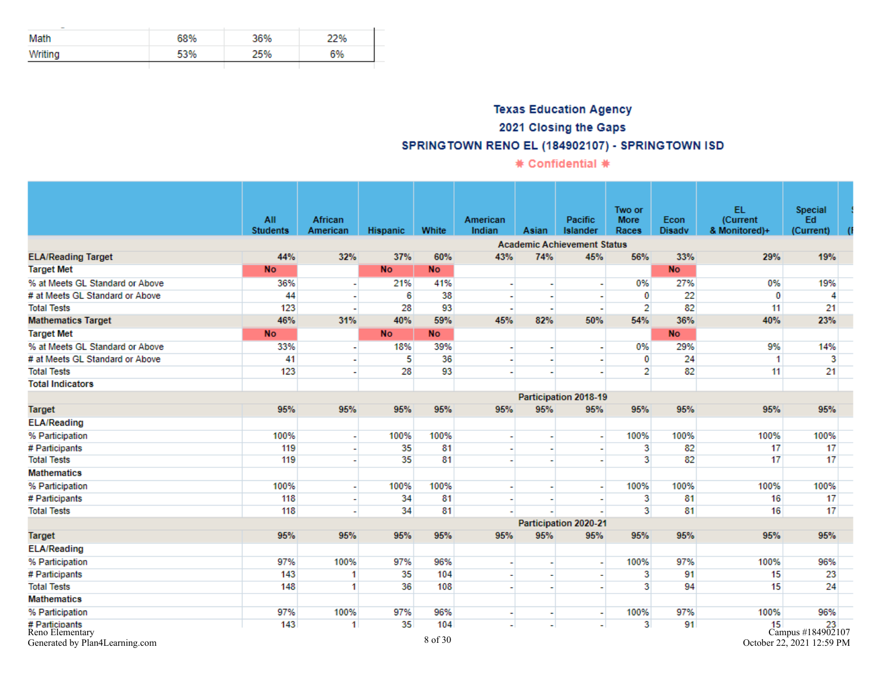| Math    | 68% | 36% | 22% |
|---------|-----|-----|-----|
| Writing | 53% | 25% | 6%  |
|         |     |     |     |

## **Texas Education Agency** 2021 Closing the Gaps SPRINGTOWN RENO EL (184902107) - SPRINGTOWN ISD

\* Confidential \*

|                                                                     | All<br><b>Students</b> | African<br>American | <b>Hispanic</b> | White          | American<br>Indian | Asian                    | Pacific<br><b>Islander</b>         | Two or<br><b>More</b><br>Races | Econ<br><b>Disadv</b> | EL.<br>(Current<br>& Monitored)+ | Special<br>Ed<br>(Current)                              |  |
|---------------------------------------------------------------------|------------------------|---------------------|-----------------|----------------|--------------------|--------------------------|------------------------------------|--------------------------------|-----------------------|----------------------------------|---------------------------------------------------------|--|
|                                                                     |                        |                     |                 |                |                    |                          | <b>Academic Achievement Status</b> |                                |                       |                                  |                                                         |  |
| <b>ELA/Reading Target</b>                                           | 44%                    | 32%                 | 37%             | 60%            | 43%                | 74%                      | 45%                                | 56%                            | 33%                   | 29%                              | 19%                                                     |  |
| <b>Target Met</b>                                                   | <b>No</b>              |                     | <b>No</b>       | <b>No</b>      |                    |                          |                                    |                                | <b>No</b>             |                                  |                                                         |  |
| % at Meets GL Standard or Above                                     | 36%                    |                     | 21%             | 41%            |                    |                          |                                    | 0%                             | 27%                   | 0%                               | 19%                                                     |  |
| # at Meets GL Standard or Above                                     | 44                     |                     | 6               | 38             |                    |                          |                                    | $\mathbf{0}$                   | 22                    | 0                                | 4                                                       |  |
| <b>Total Tests</b>                                                  | 123                    |                     | 28              | 93             |                    | ٠                        |                                    | $\overline{2}$                 | 82                    | 11                               | 21                                                      |  |
| <b>Mathematics Target</b>                                           | 46%                    | 31%                 | 40%             | 59%            | 45%                | 82%                      | 50%                                | 54%                            | 36%                   | 40%                              | 23%                                                     |  |
| <b>Target Met</b>                                                   | <b>No</b>              |                     | <b>No</b>       | <b>No</b>      |                    |                          |                                    |                                | <b>No</b>             |                                  |                                                         |  |
| % at Meets GL Standard or Above                                     | 33%                    |                     | 18%             | 39%            |                    |                          |                                    | 0%                             | 29%                   | 9%                               | 14%                                                     |  |
| # at Meets GL Standard or Above                                     | 41                     |                     | 5               | 36             |                    |                          |                                    | $\mathbf{0}$                   | 24                    | 1                                | 3                                                       |  |
| <b>Total Tests</b>                                                  | 123                    |                     | 28              | 93             |                    |                          |                                    | $\overline{2}$                 | 82                    | 11                               | 21                                                      |  |
| <b>Total Indicators</b>                                             |                        |                     |                 |                |                    |                          |                                    |                                |                       |                                  |                                                         |  |
|                                                                     |                        |                     |                 |                |                    |                          | Participation 2018-19              |                                |                       |                                  |                                                         |  |
| <b>Target</b>                                                       | 95%                    | 95%                 | 95%             | 95%            | 95%                | 95%                      | 95%                                | 95%                            | 95%                   | 95%                              | 95%                                                     |  |
| <b>ELA/Reading</b>                                                  |                        |                     |                 |                |                    |                          |                                    |                                |                       |                                  |                                                         |  |
| % Participation                                                     | 100%                   |                     | 100%            | 100%           |                    |                          |                                    | 100%                           | 100%                  | 100%                             | 100%                                                    |  |
| # Participants                                                      | 119                    |                     | 35              | 81             |                    |                          |                                    | 3                              | 82                    | 17                               | 17                                                      |  |
| <b>Total Tests</b>                                                  | 119                    |                     | 35              | 81             |                    |                          |                                    | з                              | 82                    | 17                               | 17                                                      |  |
| <b>Mathematics</b>                                                  |                        |                     |                 |                |                    |                          |                                    |                                |                       |                                  |                                                         |  |
| % Participation                                                     | 100%                   |                     | 100%            | 100%           |                    |                          | $\overline{\phantom{a}}$           | 100%                           | 100%                  | 100%                             | 100%                                                    |  |
| # Participants                                                      | 118                    |                     | 34              | 81             |                    | $\overline{\phantom{a}}$ | $\sim$                             | 3                              | 81                    | 16                               | 17                                                      |  |
| <b>Total Tests</b>                                                  | 118                    |                     | 34              | 81             |                    |                          |                                    | 3                              | 81                    | 16                               | 17                                                      |  |
|                                                                     |                        |                     |                 |                |                    |                          | Participation 2020-21              |                                |                       |                                  |                                                         |  |
| <b>Target</b>                                                       | 95%                    | 95%                 | 95%             | 95%            | 95%                | 95%                      | 95%                                | 95%                            | 95%                   | 95%                              | 95%                                                     |  |
| <b>ELA/Reading</b>                                                  |                        |                     |                 |                |                    |                          |                                    |                                |                       |                                  |                                                         |  |
| % Participation                                                     | 97%                    | 100%                | 97%             | 96%            |                    |                          |                                    | 100%                           | 97%                   | 100%                             | 96%                                                     |  |
| # Participants                                                      | 143                    | -1                  | 35              | 104            |                    |                          |                                    | 3                              | 91                    | 15                               | 23                                                      |  |
| <b>Total Tests</b>                                                  | 148                    | 1                   | 36              | 108            |                    |                          |                                    | 3                              | 94                    | 15                               | 24                                                      |  |
| <b>Mathematics</b>                                                  |                        |                     |                 |                |                    |                          |                                    |                                |                       |                                  |                                                         |  |
| % Participation                                                     | 97%                    | 100%                | 97%             | 96%            |                    | ٠                        | $\tilde{\phantom{a}}$              | 100%                           | 97%                   | 100%                             | 96%                                                     |  |
| # Participants<br>Reno Elementary<br>Generated by Plan4Learning.com | 143                    | 1                   | 35              | 104<br>8 of 30 |                    |                          |                                    | 3                              | 91                    |                                  | 15 23<br>Campus #184902107<br>October 22, 2021 12:59 PM |  |

October 22, 2021 12:59 PM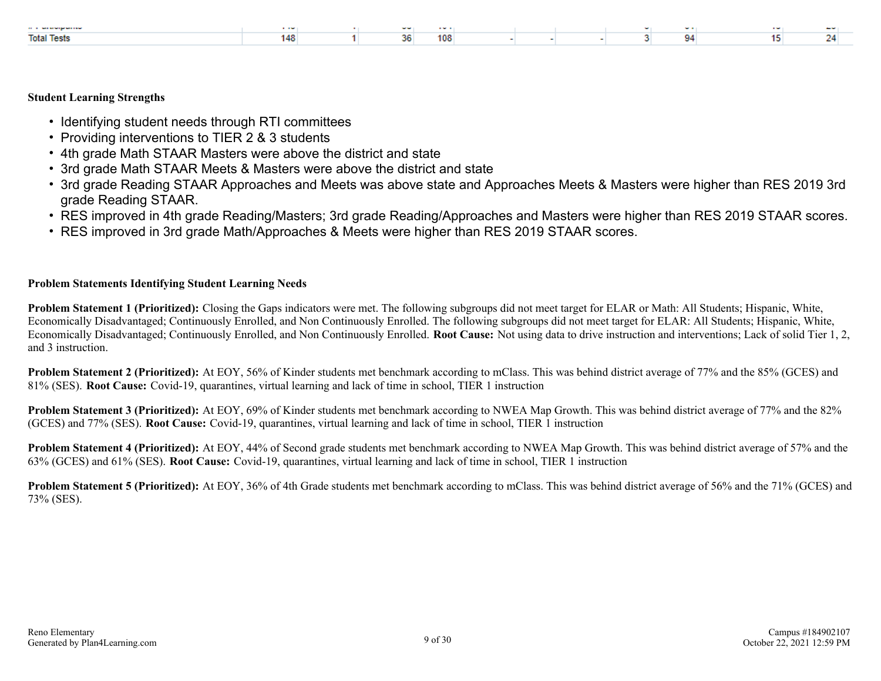| a construction of the construction | .    |     | $\cdots$ |  |  |            |  |
|------------------------------------|------|-----|----------|--|--|------------|--|
| <b>Total Tests</b>                 | 146. | . . | 108      |  |  | <b>CLA</b> |  |

#### **Student Learning Strengths**

- Identifying student needs through RTI committees
- Providing interventions to TIER 2 & 3 students
- 4th grade Math STAAR Masters were above the district and state
- 3rd grade Math STAAR Meets & Masters were above the district and state
- 3rd grade Reading STAAR Approaches and Meets was above state and Approaches Meets & Masters were higher than RES 2019 3rd grade Reading STAAR.
- RES improved in 4th grade Reading/Masters; 3rd grade Reading/Approaches and Masters were higher than RES 2019 STAAR scores.
- RES improved in 3rd grade Math/Approaches & Meets were higher than RES 2019 STAAR scores.

#### **Problem Statements Identifying Student Learning Needs**

**Problem Statement 1 (Prioritized):** Closing the Gaps indicators were met. The following subgroups did not meet target for ELAR or Math: All Students; Hispanic, White, Economically Disadvantaged; Continuously Enrolled, and Non Continuously Enrolled. The following subgroups did not meet target for ELAR: All Students; Hispanic, White, Economically Disadvantaged; Continuously Enrolled, and Non Continuously Enrolled. **Root Cause:** Not using data to drive instruction and interventions; Lack of solid Tier 1, 2, and 3 instruction.

**Problem Statement 2 (Prioritized):** At EOY, 56% of Kinder students met benchmark according to mClass. This was behind district average of 77% and the 85% (GCES) and 81% (SES). **Root Cause:** Covid-19, quarantines, virtual learning and lack of time in school, TIER 1 instruction

**Problem Statement 3 (Prioritized):** At EOY, 69% of Kinder students met benchmark according to NWEA Map Growth. This was behind district average of 77% and the 82% (GCES) and 77% (SES). **Root Cause:** Covid-19, quarantines, virtual learning and lack of time in school, TIER 1 instruction

**Problem Statement 4 (Prioritized):** At EOY, 44% of Second grade students met benchmark according to NWEA Map Growth. This was behind district average of 57% and the 63% (GCES) and 61% (SES). **Root Cause:** Covid-19, quarantines, virtual learning and lack of time in school, TIER 1 instruction

**Problem Statement 5 (Prioritized):** At EOY, 36% of 4th Grade students met benchmark according to mClass. This was behind district average of 56% and the 71% (GCES) and 73% (SES).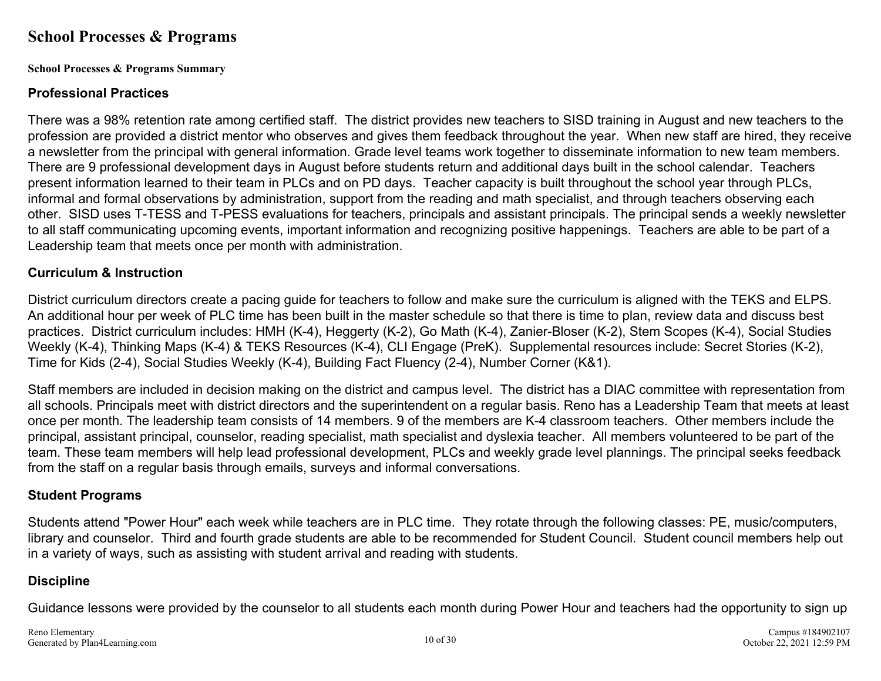## **School Processes & Programs**

**School Processes & Programs Summary**

### **Professional Practices**

There was a 98% retention rate among certified staff. The district provides new teachers to SISD training in August and new teachers to the profession are provided a district mentor who observes and gives them feedback throughout the year. When new staff are hired, they receive a newsletter from the principal with general information. Grade level teams work together to disseminate information to new team members. There are 9 professional development days in August before students return and additional days built in the school calendar. Teachers present information learned to their team in PLCs and on PD days. Teacher capacity is built throughout the school year through PLCs, informal and formal observations by administration, support from the reading and math specialist, and through teachers observing each other. SISD uses T-TESS and T-PESS evaluations for teachers, principals and assistant principals. The principal sends a weekly newsletter to all staff communicating upcoming events, important information and recognizing positive happenings. Teachers are able to be part of a Leadership team that meets once per month with administration.

### **Curriculum & Instruction**

District curriculum directors create a pacing guide for teachers to follow and make sure the curriculum is aligned with the TEKS and ELPS. An additional hour per week of PLC time has been built in the master schedule so that there is time to plan, review data and discuss best practices. District curriculum includes: HMH (K-4), Heggerty (K-2), Go Math (K-4), Zanier-Bloser (K-2), Stem Scopes (K-4), Social Studies Weekly (K-4), Thinking Maps (K-4) & TEKS Resources (K-4), CLI Engage (PreK). Supplemental resources include: Secret Stories (K-2), Time for Kids (2-4), Social Studies Weekly (K-4), Building Fact Fluency (2-4), Number Corner (K&1).

Staff members are included in decision making on the district and campus level. The district has a DIAC committee with representation from all schools. Principals meet with district directors and the superintendent on a regular basis. Reno has a Leadership Team that meets at least once per month. The leadership team consists of 14 members. 9 of the members are K-4 classroom teachers. Other members include the principal, assistant principal, counselor, reading specialist, math specialist and dyslexia teacher. All members volunteered to be part of the team. These team members will help lead professional development, PLCs and weekly grade level plannings. The principal seeks feedback from the staff on a regular basis through emails, surveys and informal conversations.

### **Student Programs**

Students attend "Power Hour" each week while teachers are in PLC time. They rotate through the following classes: PE, music/computers, library and counselor. Third and fourth grade students are able to be recommended for Student Council. Student council members help out in a variety of ways, such as assisting with student arrival and reading with students.

## **Discipline**

Guidance lessons were provided by the counselor to all students each month during Power Hour and teachers had the opportunity to sign up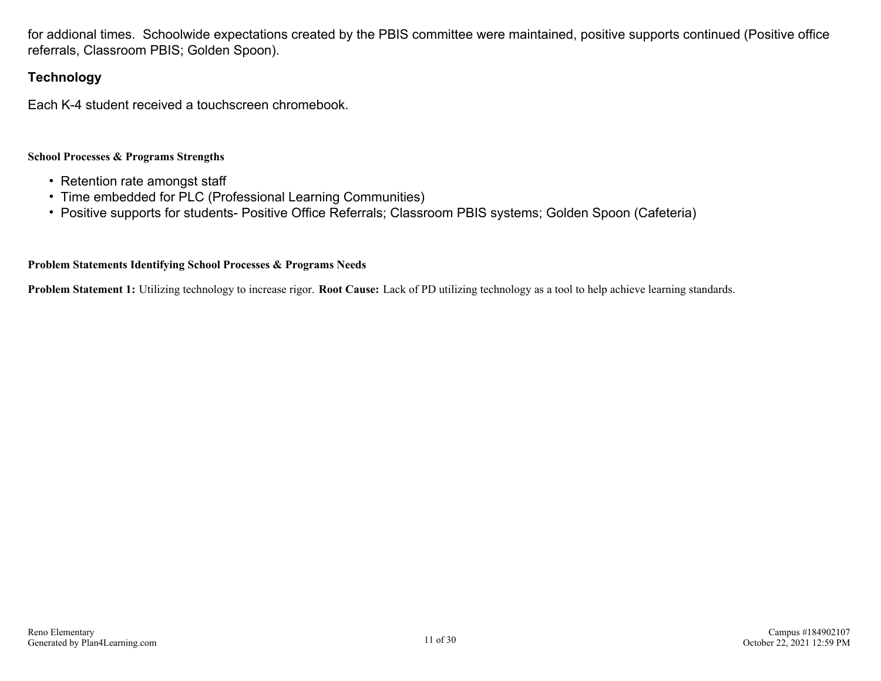for addional times. Schoolwide expectations created by the PBIS committee were maintained, positive supports continued (Positive office referrals, Classroom PBIS; Golden Spoon).

### **Technology**

Each K-4 student received a touchscreen chromebook.

#### **School Processes & Programs Strengths**

- Retention rate amongst staff
- Time embedded for PLC (Professional Learning Communities)
- Positive supports for students- Positive Office Referrals; Classroom PBIS systems; Golden Spoon (Cafeteria)

#### **Problem Statements Identifying School Processes & Programs Needs**

**Problem Statement 1:** Utilizing technology to increase rigor. **Root Cause:** Lack of PD utilizing technology as a tool to help achieve learning standards.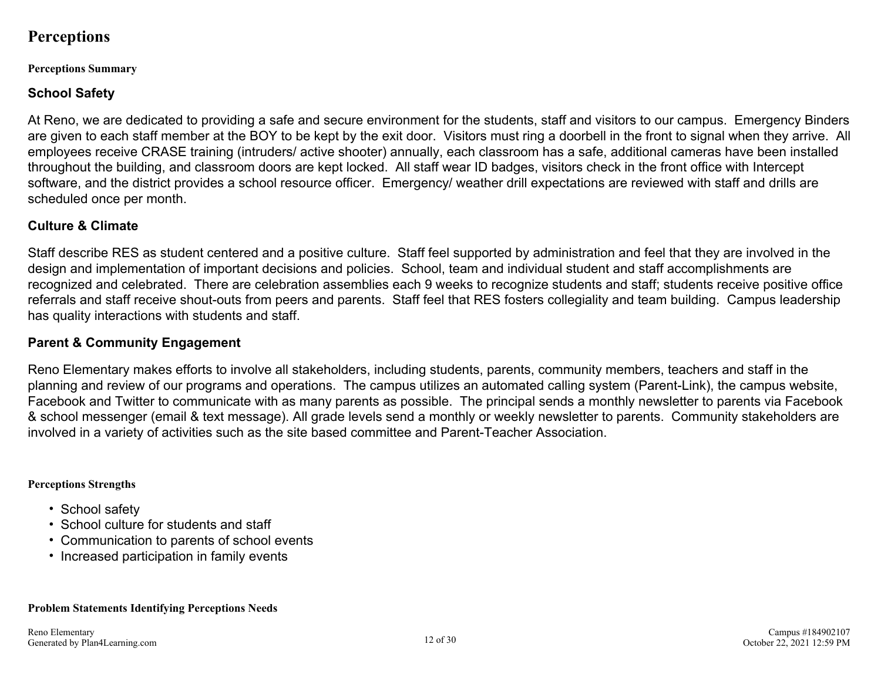## **Perceptions**

#### **Perceptions Summary**

## **School Safety**

At Reno, we are dedicated to providing a safe and secure environment for the students, staff and visitors to our campus. Emergency Binders are given to each staff member at the BOY to be kept by the exit door. Visitors must ring a doorbell in the front to signal when they arrive. All employees receive CRASE training (intruders/ active shooter) annually, each classroom has a safe, additional cameras have been installed throughout the building, and classroom doors are kept locked. All staff wear ID badges, visitors check in the front office with Intercept software, and the district provides a school resource officer. Emergency/ weather drill expectations are reviewed with staff and drills are scheduled once per month.

### **Culture & Climate**

Staff describe RES as student centered and a positive culture. Staff feel supported by administration and feel that they are involved in the design and implementation of important decisions and policies. School, team and individual student and staff accomplishments are recognized and celebrated. There are celebration assemblies each 9 weeks to recognize students and staff; students receive positive office referrals and staff receive shout-outs from peers and parents. Staff feel that RES fosters collegiality and team building. Campus leadership has quality interactions with students and staff.

## **Parent & Community Engagement**

Reno Elementary makes efforts to involve all stakeholders, including students, parents, community members, teachers and staff in the planning and review of our programs and operations. The campus utilizes an automated calling system (Parent-Link), the campus website, Facebook and Twitter to communicate with as many parents as possible. The principal sends a monthly newsletter to parents via Facebook & school messenger (email & text message). All grade levels send a monthly or weekly newsletter to parents. Community stakeholders are involved in a variety of activities such as the site based committee and Parent-Teacher Association.

### **Perceptions Strengths**

- School safety
- School culture for students and staff
- Communication to parents of school events
- Increased participation in family events

## **Problem Statements Identifying Perceptions Needs**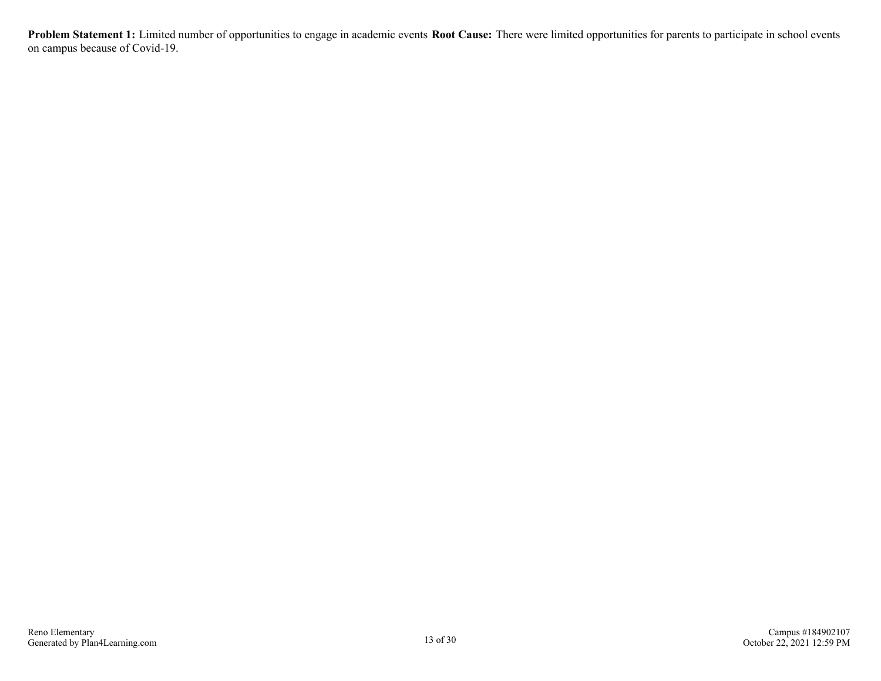**Problem Statement 1:** Limited number of opportunities to engage in academic events **Root Cause:** There were limited opportunities for parents to participate in school events on campus because of Covid-19.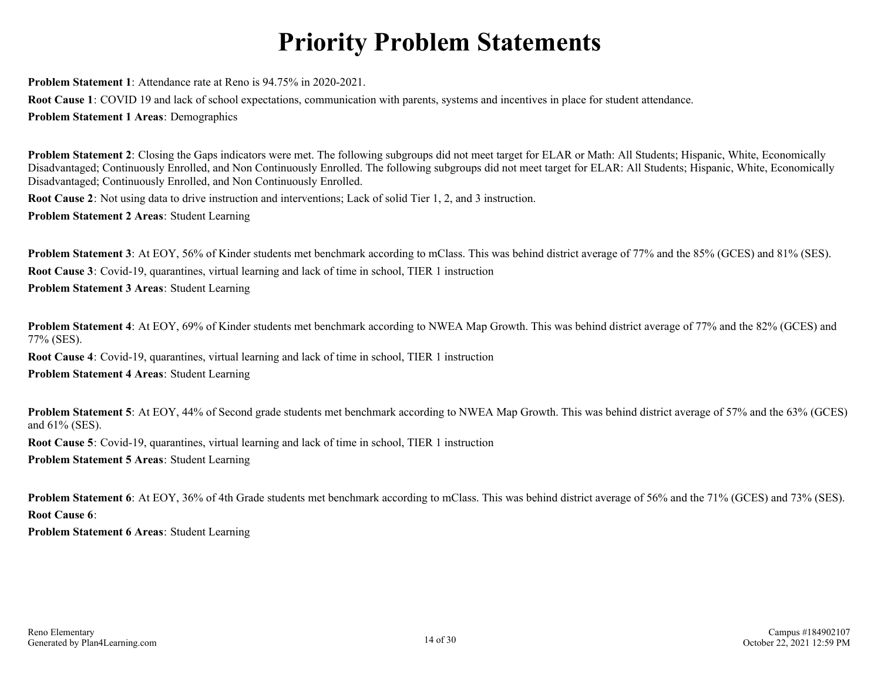# **Priority Problem Statements**

**Problem Statement 1**: Attendance rate at Reno is 94.75% in 2020-2021.

**Root Cause 1**: COVID 19 and lack of school expectations, communication with parents, systems and incentives in place for student attendance.

**Problem Statement 1 Areas**: Demographics

**Problem Statement 2**: Closing the Gaps indicators were met. The following subgroups did not meet target for ELAR or Math: All Students; Hispanic, White, Economically Disadvantaged; Continuously Enrolled, and Non Continuously Enrolled. The following subgroups did not meet target for ELAR: All Students; Hispanic, White, Economically Disadvantaged; Continuously Enrolled, and Non Continuously Enrolled.

**Root Cause 2**: Not using data to drive instruction and interventions; Lack of solid Tier 1, 2, and 3 instruction.

**Problem Statement 2 Areas**: Student Learning

**Problem Statement 3**: At EOY, 56% of Kinder students met benchmark according to mClass. This was behind district average of 77% and the 85% (GCES) and 81% (SES). **Root Cause 3**: Covid-19, quarantines, virtual learning and lack of time in school, TIER 1 instruction **Problem Statement 3 Areas**: Student Learning

**Problem Statement 4**: At EOY, 69% of Kinder students met benchmark according to NWEA Map Growth. This was behind district average of 77% and the 82% (GCES) and 77% (SES).

**Root Cause 4**: Covid-19, quarantines, virtual learning and lack of time in school, TIER 1 instruction

**Problem Statement 4 Areas**: Student Learning

**Problem Statement 5**: At EOY, 44% of Second grade students met benchmark according to NWEA Map Growth. This was behind district average of 57% and the 63% (GCES) and 61% (SES).

**Root Cause 5**: Covid-19, quarantines, virtual learning and lack of time in school, TIER 1 instruction

**Problem Statement 5 Areas**: Student Learning

**Problem Statement 6**: At EOY, 36% of 4th Grade students met benchmark according to mClass. This was behind district average of 56% and the 71% (GCES) and 73% (SES). **Root Cause 6**:

**Problem Statement 6 Areas**: Student Learning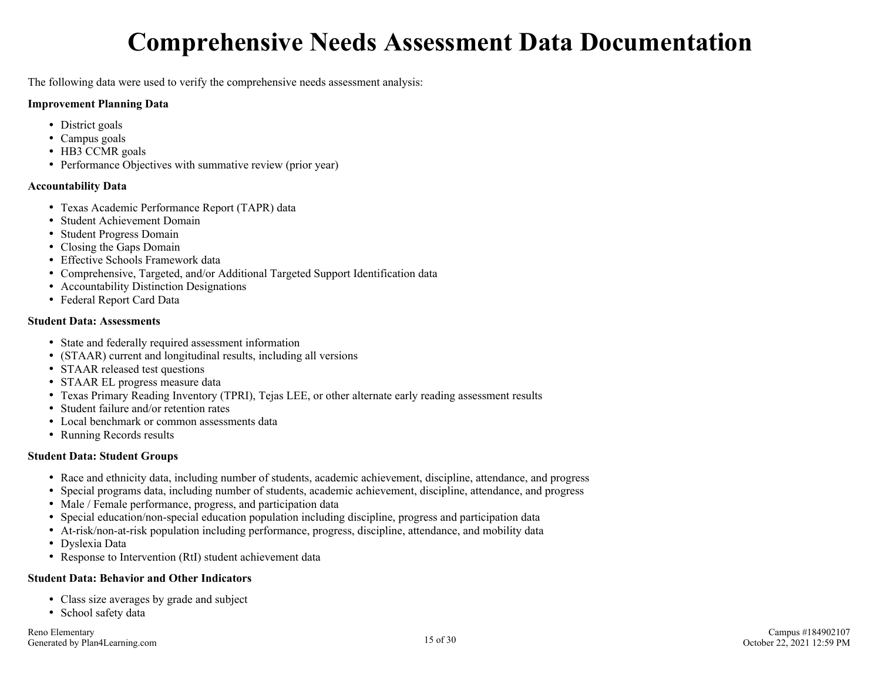# **Comprehensive Needs Assessment Data Documentation**

The following data were used to verify the comprehensive needs assessment analysis:

#### **Improvement Planning Data**

- District goals
- Campus goals
- HB3 CCMR goals
- Performance Objectives with summative review (prior year)

#### **Accountability Data**

- Texas Academic Performance Report (TAPR) data
- Student Achievement Domain
- Student Progress Domain
- Closing the Gaps Domain
- Effective Schools Framework data
- Comprehensive, Targeted, and/or Additional Targeted Support Identification data
- Accountability Distinction Designations
- Federal Report Card Data

#### **Student Data: Assessments**

- State and federally required assessment information
- (STAAR) current and longitudinal results, including all versions
- STAAR released test questions
- STAAR EL progress measure data
- Texas Primary Reading Inventory (TPRI), Tejas LEE, or other alternate early reading assessment results
- Student failure and/or retention rates
- Local benchmark or common assessments data
- Running Records results

#### **Student Data: Student Groups**

- Race and ethnicity data, including number of students, academic achievement, discipline, attendance, and progress
- Special programs data, including number of students, academic achievement, discipline, attendance, and progress
- Male / Female performance, progress, and participation data
- Special education/non-special education population including discipline, progress and participation data
- At-risk/non-at-risk population including performance, progress, discipline, attendance, and mobility data
- Dyslexia Data
- Response to Intervention (RtI) student achievement data

#### **Student Data: Behavior and Other Indicators**

- Class size averages by grade and subject
- School safety data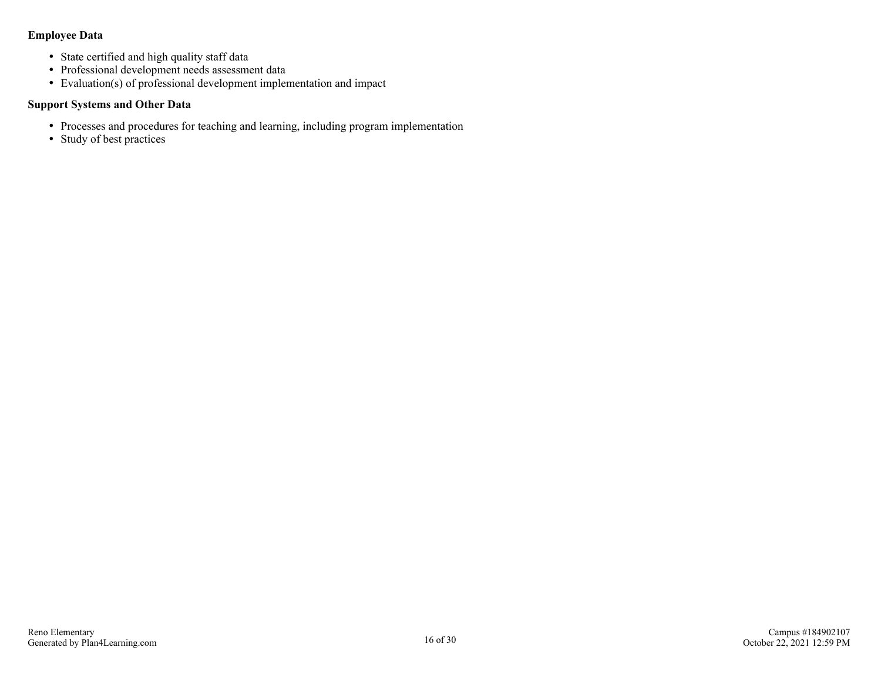#### **Employee Data**

- State certified and high quality staff data
- Professional development needs assessment data
- Evaluation(s) of professional development implementation and impact

#### **Support Systems and Other Data**

- Processes and procedures for teaching and learning, including program implementation
- Study of best practices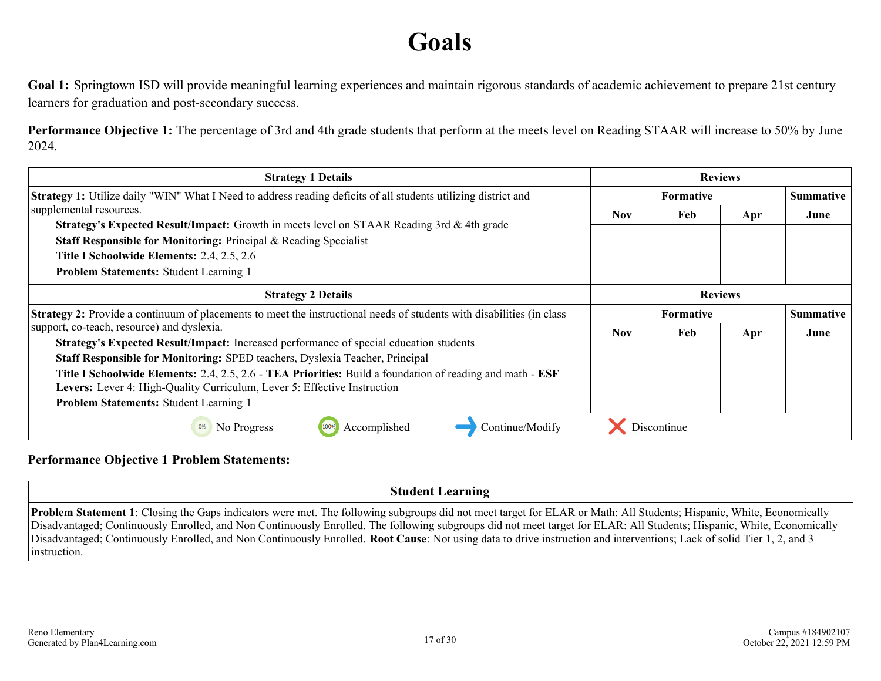# **Goals**

Goal 1: Springtown ISD will provide meaningful learning experiences and maintain rigorous standards of academic achievement to prepare 21st century learners for graduation and post-secondary success.

**Performance Objective 1:** The percentage of 3rd and 4th grade students that perform at the meets level on Reading STAAR will increase to 50% by June 2024.

| <b>Strategy 1 Details</b>                                                                                             | <b>Reviews</b>                       |                                      |     |      |  |
|-----------------------------------------------------------------------------------------------------------------------|--------------------------------------|--------------------------------------|-----|------|--|
| <b>Strategy 1:</b> Utilize daily "WIN" What I Need to address reading deficits of all students utilizing district and |                                      | <b>Summative</b><br><b>Formative</b> |     |      |  |
| supplemental resources.                                                                                               | <b>Nov</b>                           | Feb                                  | Apr | June |  |
| <b>Strategy's Expected Result/Impact:</b> Growth in meets level on STAAR Reading 3rd & 4th grade                      |                                      |                                      |     |      |  |
| Staff Responsible for Monitoring: Principal & Reading Specialist                                                      |                                      |                                      |     |      |  |
| Title I Schoolwide Elements: 2.4, 2.5, 2.6                                                                            |                                      |                                      |     |      |  |
| <b>Problem Statements: Student Learning 1</b>                                                                         |                                      |                                      |     |      |  |
| <b>Strategy 2 Details</b>                                                                                             | <b>Reviews</b>                       |                                      |     |      |  |
| Strategy 2: Provide a continuum of placements to meet the instructional needs of students with disabilities (in class | <b>Summative</b><br><b>Formative</b> |                                      |     |      |  |
| support, co-teach, resource) and dyslexia.                                                                            | Nov.                                 | Feb                                  | Apr | June |  |
| Strategy's Expected Result/Impact: Increased performance of special education students                                |                                      |                                      |     |      |  |
|                                                                                                                       |                                      |                                      |     |      |  |
| Staff Responsible for Monitoring: SPED teachers, Dyslexia Teacher, Principal                                          |                                      |                                      |     |      |  |
| Title I Schoolwide Elements: 2.4, 2.5, 2.6 - TEA Priorities: Build a foundation of reading and math - ESF             |                                      |                                      |     |      |  |
| Levers: Lever 4: High-Quality Curriculum, Lever 5: Effective Instruction                                              |                                      |                                      |     |      |  |
| <b>Problem Statements: Student Learning 1</b>                                                                         |                                      |                                      |     |      |  |

#### **Performance Objective 1 Problem Statements:**

### **Student Learning**

**Problem Statement 1**: Closing the Gaps indicators were met. The following subgroups did not meet target for ELAR or Math: All Students; Hispanic, White, Economically Disadvantaged; Continuously Enrolled, and Non Continuously Enrolled. The following subgroups did not meet target for ELAR: All Students; Hispanic, White, Economically Disadvantaged; Continuously Enrolled, and Non Continuously Enrolled. **Root Cause**: Not using data to drive instruction and interventions; Lack of solid Tier 1, 2, and 3 instruction.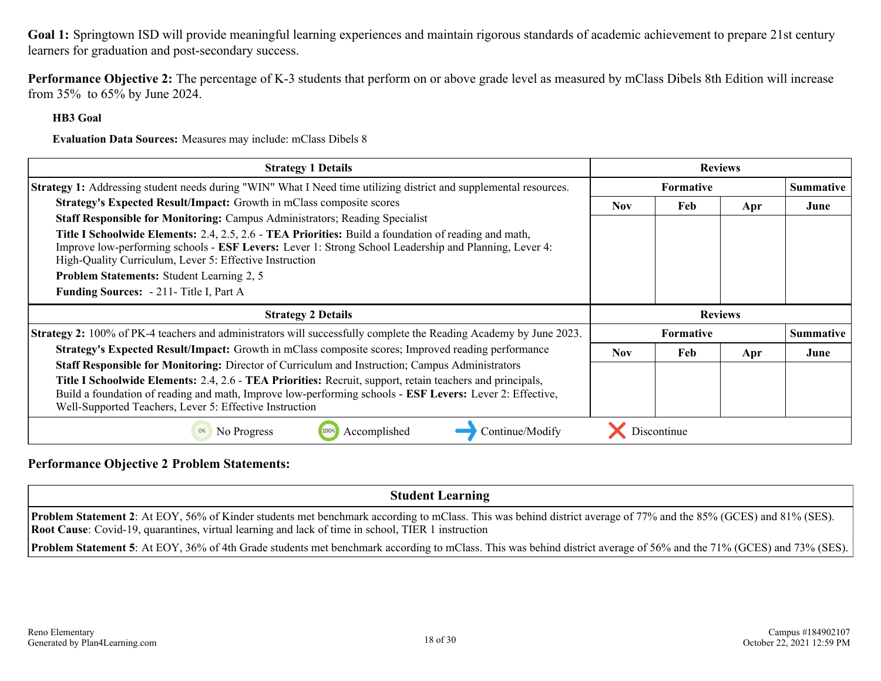**Performance Objective 2:** The percentage of K-3 students that perform on or above grade level as measured by mClass Dibels 8th Edition will increase from 35% to 65% by June 2024.

#### **HB3 Goal**

**Evaluation Data Sources:** Measures may include: mClass Dibels 8

| <b>Strategy 1 Details</b>                                                                                                                                                                                                                                                | <b>Reviews</b>                       |                  |     |                  |  |  |  |
|--------------------------------------------------------------------------------------------------------------------------------------------------------------------------------------------------------------------------------------------------------------------------|--------------------------------------|------------------|-----|------------------|--|--|--|
| <b>Strategy 1:</b> Addressing student needs during "WIN" What I Need time utilizing district and supplemental resources.                                                                                                                                                 | <b>Formative</b><br><b>Summative</b> |                  |     |                  |  |  |  |
| Strategy's Expected Result/Impact: Growth in mClass composite scores                                                                                                                                                                                                     | <b>Nov</b>                           | Feb              | Apr | June             |  |  |  |
| Staff Responsible for Monitoring: Campus Administrators; Reading Specialist                                                                                                                                                                                              |                                      |                  |     |                  |  |  |  |
| Title I Schoolwide Elements: 2.4, 2.5, 2.6 - TEA Priorities: Build a foundation of reading and math,<br>Improve low-performing schools - ESF Levers: Lever 1: Strong School Leadership and Planning, Lever 4:<br>High-Quality Curriculum, Lever 5: Effective Instruction |                                      |                  |     |                  |  |  |  |
| <b>Problem Statements: Student Learning 2, 5</b>                                                                                                                                                                                                                         |                                      |                  |     |                  |  |  |  |
| Funding Sources: - 211- Title I, Part A                                                                                                                                                                                                                                  |                                      |                  |     |                  |  |  |  |
|                                                                                                                                                                                                                                                                          |                                      |                  |     |                  |  |  |  |
| <b>Strategy 2 Details</b>                                                                                                                                                                                                                                                |                                      | <b>Reviews</b>   |     |                  |  |  |  |
| <b>Strategy 2:</b> 100% of PK-4 teachers and administrators will successfully complete the Reading Academy by June 2023.                                                                                                                                                 |                                      | <b>Formative</b> |     | <b>Summative</b> |  |  |  |
| Strategy's Expected Result/Impact: Growth in mClass composite scores; Improved reading performance                                                                                                                                                                       | <b>Nov</b>                           | Feb              | Apr | June             |  |  |  |
| Staff Responsible for Monitoring: Director of Curriculum and Instruction; Campus Administrators                                                                                                                                                                          |                                      |                  |     |                  |  |  |  |
| Title I Schoolwide Elements: 2.4, 2.6 - TEA Priorities: Recruit, support, retain teachers and principals,                                                                                                                                                                |                                      |                  |     |                  |  |  |  |
| Build a foundation of reading and math, Improve low-performing schools - ESF Levers: Lever 2: Effective,<br>Well-Supported Teachers, Lever 5: Effective Instruction                                                                                                      |                                      |                  |     |                  |  |  |  |

#### **Performance Objective 2 Problem Statements:**

**Student Learning Problem Statement 2**: At EOY, 56% of Kinder students met benchmark according to mClass. This was behind district average of 77% and the 85% (GCES) and 81% (SES). **Root Cause**: Covid-19, quarantines, virtual learning and lack of time in school, TIER 1 instruction **Problem Statement 5**: At EOY, 36% of 4th Grade students met benchmark according to mClass. This was behind district average of 56% and the 71% (GCES) and 73% (SES).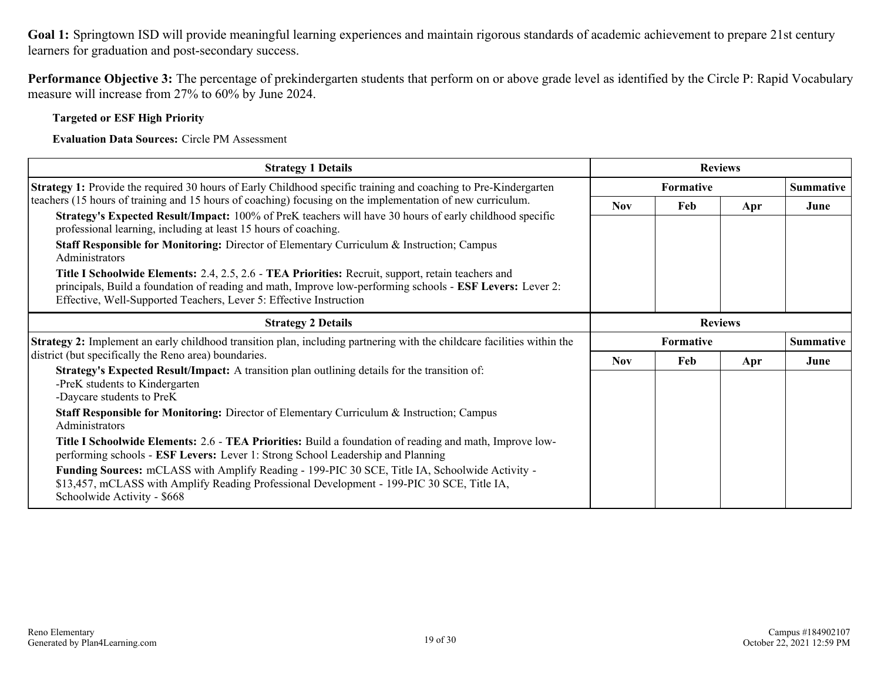**Performance Objective 3:** The percentage of prekindergarten students that perform on or above grade level as identified by the Circle P: Rapid Vocabulary measure will increase from 27% to 60% by June 2024.

**Targeted or ESF High Priority**

**Evaluation Data Sources:** Circle PM Assessment

| <b>Strategy 1 Details</b>                                                                                                                                                                                                                                                             |                        | <b>Reviews</b>   |     |                  |  |
|---------------------------------------------------------------------------------------------------------------------------------------------------------------------------------------------------------------------------------------------------------------------------------------|------------------------|------------------|-----|------------------|--|
| <b>Strategy 1:</b> Provide the required 30 hours of Early Childhood specific training and coaching to Pre-Kindergarten                                                                                                                                                                |                        | <b>Formative</b> |     | <b>Summative</b> |  |
| teachers (15 hours of training and 15 hours of coaching) focusing on the implementation of new curriculum.                                                                                                                                                                            | <b>Nov</b>             | Feb              | Apr | June             |  |
| Strategy's Expected Result/Impact: 100% of PreK teachers will have 30 hours of early childhood specific<br>professional learning, including at least 15 hours of coaching.                                                                                                            |                        |                  |     |                  |  |
| <b>Staff Responsible for Monitoring:</b> Director of Elementary Curriculum $\&$ Instruction; Campus<br>Administrators                                                                                                                                                                 |                        |                  |     |                  |  |
| Title I Schoolwide Elements: 2.4, 2.5, 2.6 - TEA Priorities: Recruit, support, retain teachers and<br>principals, Build a foundation of reading and math, Improve low-performing schools - ESF Levers: Lever 2:<br>Effective, Well-Supported Teachers, Lever 5: Effective Instruction |                        |                  |     |                  |  |
| <b>Strategy 2 Details</b>                                                                                                                                                                                                                                                             | <b>Reviews</b>         |                  |     |                  |  |
| <b>Strategy 2:</b> Implement an early childhood transition plan, including partnering with the childcare facilities within the                                                                                                                                                        | Summative<br>Formative |                  |     |                  |  |
| district (but specifically the Reno area) boundaries.                                                                                                                                                                                                                                 | <b>Nov</b>             | Feb              | Apr | June             |  |
| Strategy's Expected Result/Impact: A transition plan outlining details for the transition of:<br>-PreK students to Kindergarten<br>-Daycare students to PreK                                                                                                                          |                        |                  |     |                  |  |
| <b>Staff Responsible for Monitoring:</b> Director of Elementary Curriculum & Instruction; Campus<br>Administrators                                                                                                                                                                    |                        |                  |     |                  |  |
| Title I Schoolwide Elements: 2.6 - TEA Priorities: Build a foundation of reading and math, Improve low-<br>performing schools - ESF Levers: Lever 1: Strong School Leadership and Planning                                                                                            |                        |                  |     |                  |  |
| Funding Sources: mCLASS with Amplify Reading - 199-PIC 30 SCE, Title IA, Schoolwide Activity -<br>\$13,457, mCLASS with Amplify Reading Professional Development - 199-PIC 30 SCE, Title IA,<br>Schoolwide Activity - \$668                                                           |                        |                  |     |                  |  |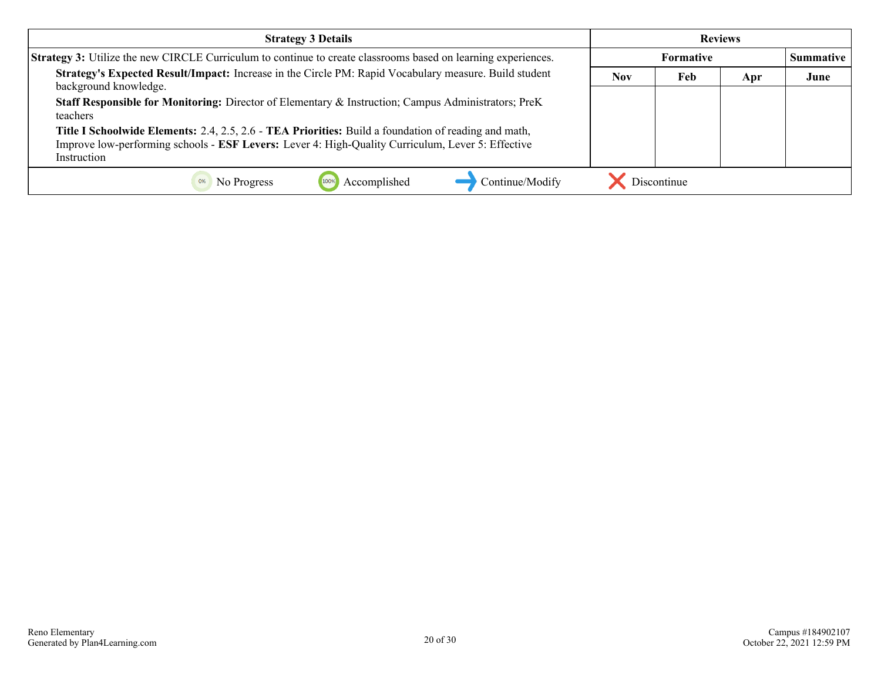| <b>Strategy 3 Details</b>                                                                                                                                                                                                              | <b>Reviews</b> |                  |     |                  |  |
|----------------------------------------------------------------------------------------------------------------------------------------------------------------------------------------------------------------------------------------|----------------|------------------|-----|------------------|--|
| Strategy 3: Utilize the new CIRCLE Curriculum to continue to create classrooms based on learning experiences.                                                                                                                          |                | <b>Formative</b> |     | <b>Summative</b> |  |
| Strategy's Expected Result/Impact: Increase in the Circle PM: Rapid Vocabulary measure. Build student<br>background knowledge.                                                                                                         | <b>Nov</b>     | Feb              | Apr | June             |  |
| <b>Staff Responsible for Monitoring:</b> Director of Elementary & Instruction; Campus Administrators; PreK<br>teachers                                                                                                                 |                |                  |     |                  |  |
| <b>Title I Schoolwide Elements:</b> 2.4, 2.5, 2.6 - <b>TEA Priorities:</b> Build a foundation of reading and math,<br>Improve low-performing schools - ESF Levers: Lever 4: High-Quality Curriculum, Lever 5: Effective<br>Instruction |                |                  |     |                  |  |
| Continue/Modify<br>Accomplished<br>No Progress                                                                                                                                                                                         |                | Discontinue      |     |                  |  |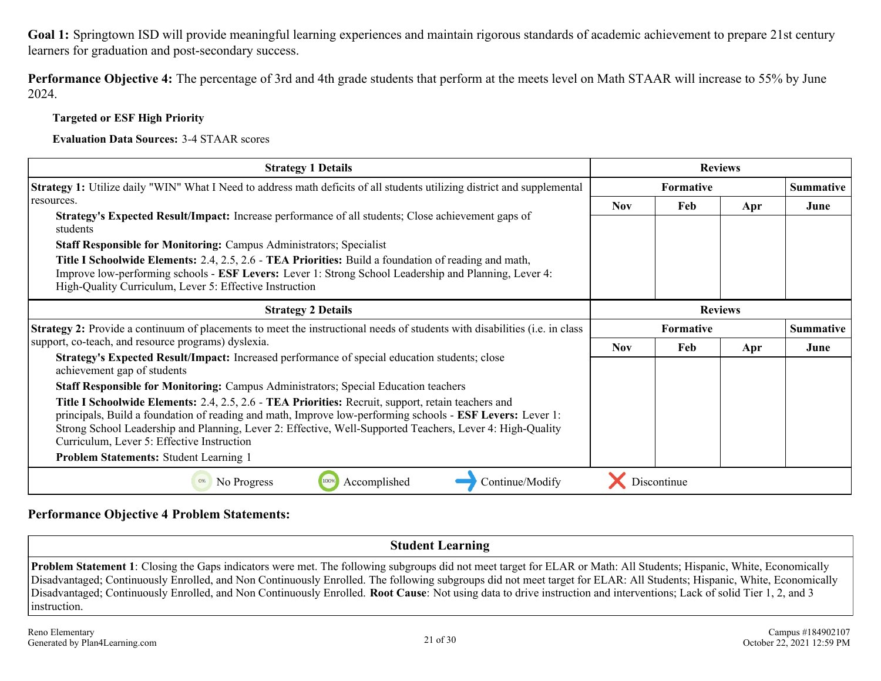**Performance Objective 4:** The percentage of 3rd and 4th grade students that perform at the meets level on Math STAAR will increase to 55% by June 2024.

**Targeted or ESF High Priority**

**Evaluation Data Sources:** 3-4 STAAR scores

| <b>Strategy 1 Details</b>                                                                                                                                                                                                                                                                                                                                                                                                                                                                                                                                                                                                                                                                                                                                                                                                                             | <b>Reviews</b>   |             |     |                  |
|-------------------------------------------------------------------------------------------------------------------------------------------------------------------------------------------------------------------------------------------------------------------------------------------------------------------------------------------------------------------------------------------------------------------------------------------------------------------------------------------------------------------------------------------------------------------------------------------------------------------------------------------------------------------------------------------------------------------------------------------------------------------------------------------------------------------------------------------------------|------------------|-------------|-----|------------------|
| Strategy 1: Utilize daily "WIN" What I Need to address math deficits of all students utilizing district and supplemental                                                                                                                                                                                                                                                                                                                                                                                                                                                                                                                                                                                                                                                                                                                              | <b>Formative</b> |             |     | <b>Summative</b> |
| resources.<br><b>Strategy's Expected Result/Impact:</b> Increase performance of all students; Close achievement gaps of<br>students<br><b>Staff Responsible for Monitoring: Campus Administrators; Specialist</b><br><b>Title I Schoolwide Elements:</b> 2.4, 2.5, 2.6 - <b>TEA Priorities:</b> Build a foundation of reading and math,<br>Improve low-performing schools - ESF Levers: Lever 1: Strong School Leadership and Planning, Lever 4:<br>High-Quality Curriculum, Lever 5: Effective Instruction                                                                                                                                                                                                                                                                                                                                           | <b>Nov</b>       | <b>Feb</b>  | Apr | June             |
| <b>Strategy 2 Details</b>                                                                                                                                                                                                                                                                                                                                                                                                                                                                                                                                                                                                                                                                                                                                                                                                                             | <b>Reviews</b>   |             |     |                  |
| <b>Strategy 2:</b> Provide a continuum of placements to meet the instructional needs of students with disabilities (i.e. in class<br>support, co-teach, and resource programs) dyslexia.<br>Strategy's Expected Result/Impact: Increased performance of special education students; close<br>achievement gap of students<br><b>Staff Responsible for Monitoring: Campus Administrators; Special Education teachers</b><br>Title I Schoolwide Elements: 2.4, 2.5, 2.6 - TEA Priorities: Recruit, support, retain teachers and<br>principals, Build a foundation of reading and math, Improve low-performing schools - ESF Levers: Lever 1:<br>Strong School Leadership and Planning, Lever 2: Effective, Well-Supported Teachers, Lever 4: High-Quality<br>Curriculum, Lever 5: Effective Instruction<br><b>Problem Statements: Student Learning 1</b> | <b>Formative</b> |             |     | <b>Summative</b> |
|                                                                                                                                                                                                                                                                                                                                                                                                                                                                                                                                                                                                                                                                                                                                                                                                                                                       | <b>Nov</b>       | Feb         | Apr | June             |
| Continue/Modify<br>100%<br>Accomplished<br>No Progress                                                                                                                                                                                                                                                                                                                                                                                                                                                                                                                                                                                                                                                                                                                                                                                                |                  | Discontinue |     |                  |

#### **Performance Objective 4 Problem Statements:**

**Student Learning Problem Statement 1**: Closing the Gaps indicators were met. The following subgroups did not meet target for ELAR or Math: All Students; Hispanic, White, Economically Disadvantaged; Continuously Enrolled, and Non Continuously Enrolled. The following subgroups did not meet target for ELAR: All Students; Hispanic, White, Economically Disadvantaged; Continuously Enrolled, and Non Continuously Enrolled. **Root Cause**: Not using data to drive instruction and interventions; Lack of solid Tier 1, 2, and 3 instruction.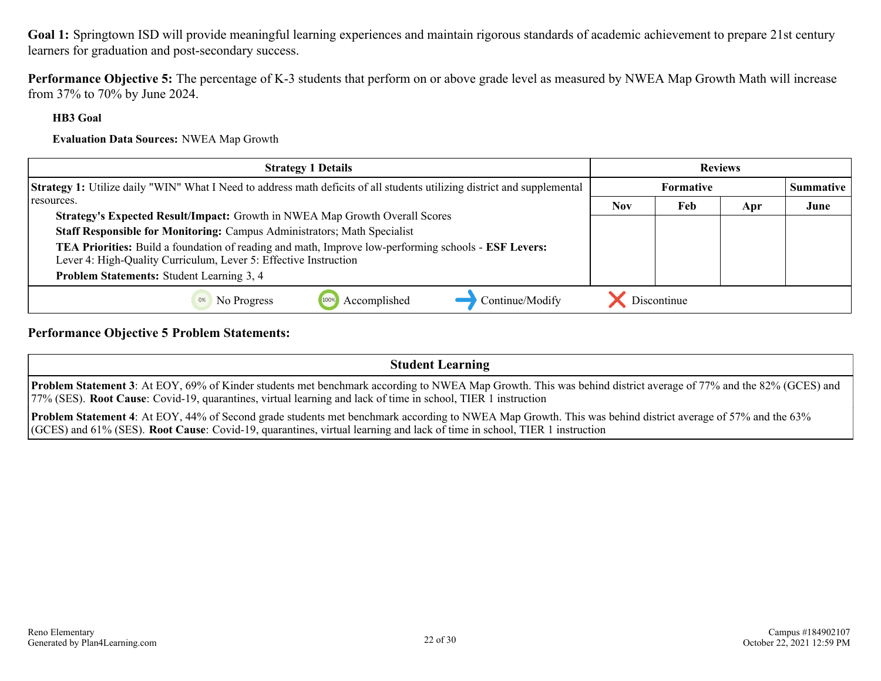**Performance Objective 5:** The percentage of K-3 students that perform on or above grade level as measured by NWEA Map Growth Math will increase from 37% to 70% by June 2024.

#### **HB3 Goal**

**Evaluation Data Sources:** NWEA Map Growth

| <b>Strategy 1 Details</b>                                                                                                       | <b>Reviews</b> |             |     |                  |
|---------------------------------------------------------------------------------------------------------------------------------|----------------|-------------|-----|------------------|
| <b>Strategy 1:</b> Utilize daily "WIN" What I Need to address math deficits of all students utilizing district and supplemental | Formative      |             |     | <b>Summative</b> |
| resources.                                                                                                                      | <b>Nov</b>     | Feb         | Apr | June             |
| <b>Strategy's Expected Result/Impact:</b> Growth in NWEA Map Growth Overall Scores                                              |                |             |     |                  |
| Staff Responsible for Monitoring: Campus Administrators; Math Specialist                                                        |                |             |     |                  |
| <b>TEA Priorities:</b> Build a foundation of reading and math, Improve low-performing schools - <b>ESF Levers:</b>              |                |             |     |                  |
| Lever 4: High-Quality Curriculum, Lever 5: Effective Instruction                                                                |                |             |     |                  |
| Problem Statements: Student Learning 3, 4                                                                                       |                |             |     |                  |
| Continue/Modify<br>Accomplished<br>No Progress                                                                                  |                | Discontinue |     |                  |

#### **Performance Objective 5 Problem Statements:**

| <b>Student Learning</b>                                                                                                                                                                                                                                                                       |
|-----------------------------------------------------------------------------------------------------------------------------------------------------------------------------------------------------------------------------------------------------------------------------------------------|
| <b>Problem Statement 3</b> : At EOY, 69% of Kinder students met benchmark according to NWEA Map Growth. This was behind district average of 77% and the 82% (GCES) and<br>[77% (SES). Root Cause: Covid-19, quarantines, virtual learning and lack of time in school, TIER 1 instruction      |
| <b>Problem Statement 4</b> : At EOY, 44% of Second grade students met benchmark according to NWEA Map Growth. This was behind district average of 57% and the 63%<br>(GCES) and 61% (SES). Root Cause: Covid-19, quarantines, virtual learning and lack of time in school, TIER 1 instruction |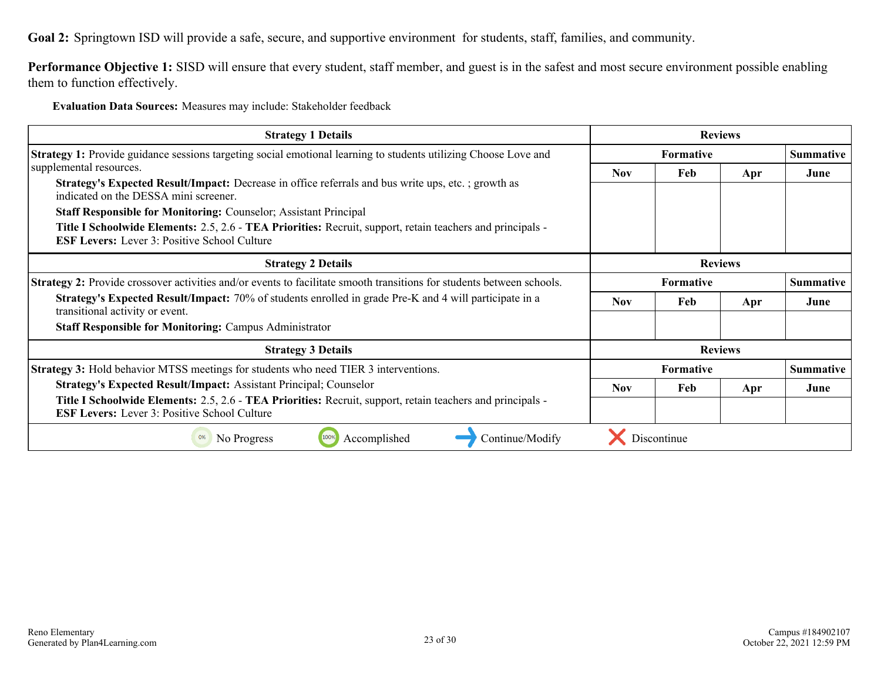**Goal 2:** Springtown ISD will provide a safe, secure, and supportive environment for students, staff, families, and community.

Performance Objective 1: SISD will ensure that every student, staff member, and guest is in the safest and most secure environment possible enabling them to function effectively.

**Evaluation Data Sources:** Measures may include: Stakeholder feedback

| <b>Strategy 1 Details</b>                                                                                                                                                                                                                                                                                                                                                                                                     | <b>Reviews</b>                       |             |     |                  |  |
|-------------------------------------------------------------------------------------------------------------------------------------------------------------------------------------------------------------------------------------------------------------------------------------------------------------------------------------------------------------------------------------------------------------------------------|--------------------------------------|-------------|-----|------------------|--|
| <b>Strategy 1:</b> Provide guidance sessions targeting social emotional learning to students utilizing Choose Love and                                                                                                                                                                                                                                                                                                        | <b>Formative</b>                     |             |     | <b>Summative</b> |  |
| supplemental resources.<br><b>Strategy's Expected Result/Impact:</b> Decrease in office referrals and bus write ups, etc.; growth as<br>indicated on the DESSA mini screener.<br><b>Staff Responsible for Monitoring: Counselor; Assistant Principal</b><br>Title I Schoolwide Elements: 2.5, 2.6 - TEA Priorities: Recruit, support, retain teachers and principals -<br><b>ESF Levers:</b> Lever 3: Positive School Culture | <b>Nov</b>                           | Feb         | Apr | June             |  |
| <b>Strategy 2 Details</b>                                                                                                                                                                                                                                                                                                                                                                                                     | <b>Reviews</b>                       |             |     |                  |  |
| Strategy 2: Provide crossover activities and/or events to facilitate smooth transitions for students between schools.                                                                                                                                                                                                                                                                                                         | <b>Formative</b><br><b>Summative</b> |             |     |                  |  |
| Strategy's Expected Result/Impact: 70% of students enrolled in grade Pre-K and 4 will participate in a<br>transitional activity or event.                                                                                                                                                                                                                                                                                     | <b>Nov</b>                           | Feb         | Apr | June             |  |
| <b>Staff Responsible for Monitoring: Campus Administrator</b>                                                                                                                                                                                                                                                                                                                                                                 |                                      |             |     |                  |  |
| <b>Strategy 3 Details</b>                                                                                                                                                                                                                                                                                                                                                                                                     | <b>Reviews</b>                       |             |     |                  |  |
| <b>Strategy 3:</b> Hold behavior MTSS meetings for students who need TIER 3 interventions.                                                                                                                                                                                                                                                                                                                                    | Formative<br><b>Summative</b>        |             |     |                  |  |
| <b>Strategy's Expected Result/Impact: Assistant Principal; Counselor</b>                                                                                                                                                                                                                                                                                                                                                      | <b>Nov</b>                           | Feb         | Apr | June             |  |
| Title I Schoolwide Elements: 2.5, 2.6 - TEA Priorities: Recruit, support, retain teachers and principals -<br><b>ESF Levers:</b> Lever 3: Positive School Culture                                                                                                                                                                                                                                                             |                                      |             |     |                  |  |
| Continue/Modify<br>Accomplished<br>No Progress<br>100%<br>0%                                                                                                                                                                                                                                                                                                                                                                  |                                      | Discontinue |     |                  |  |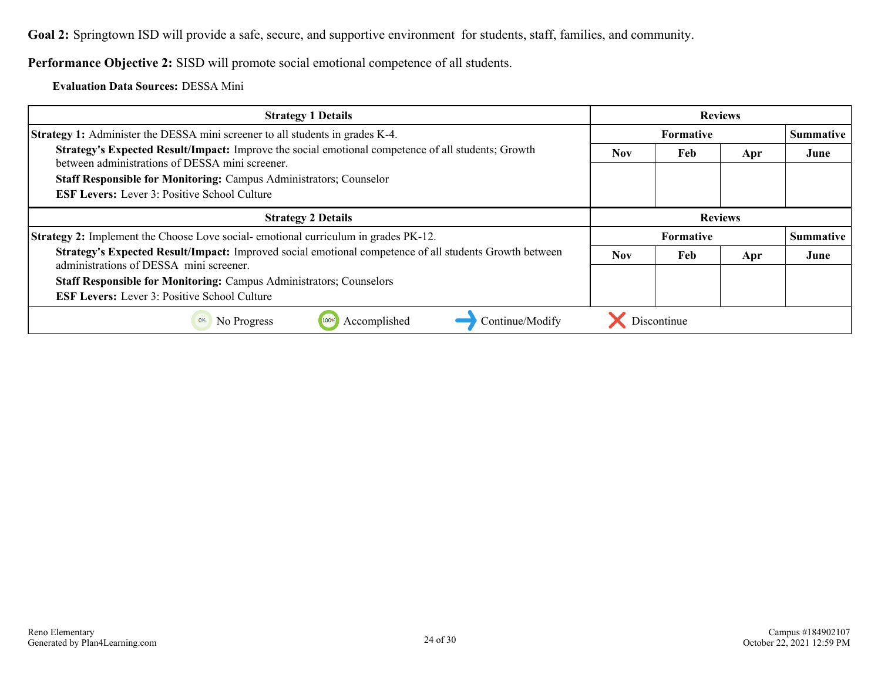**Goal 2:** Springtown ISD will provide a safe, secure, and supportive environment for students, staff, families, and community.

**Performance Objective 2:** SISD will promote social emotional competence of all students.

**Evaluation Data Sources:** DESSA Mini

| <b>Strategy 1 Details</b>                                                                                                                             | <b>Reviews</b>   |             |     |                  |
|-------------------------------------------------------------------------------------------------------------------------------------------------------|------------------|-------------|-----|------------------|
| <b>Strategy 1:</b> Administer the DESSA mini screener to all students in grades K-4.                                                                  | <b>Formative</b> |             |     | <b>Summative</b> |
| Strategy's Expected Result/Impact: Improve the social emotional competence of all students; Growth<br>between administrations of DESSA mini screener. | <b>Nov</b>       | Feb         | Apr | June             |
| <b>Staff Responsible for Monitoring: Campus Administrators; Counselor</b>                                                                             |                  |             |     |                  |
| <b>ESF Levers:</b> Lever 3: Positive School Culture                                                                                                   |                  |             |     |                  |
| <b>Strategy 2 Details</b>                                                                                                                             | <b>Reviews</b>   |             |     |                  |
| <b>Strategy 2:</b> Implement the Choose Love social-emotional curriculum in grades PK-12.                                                             | <b>Formative</b> |             |     | <b>Summative</b> |
| Strategy's Expected Result/Impact: Improved social emotional competence of all students Growth between<br>administrations of DESSA mini screener.     | <b>Nov</b>       | Feb         | Apr | June             |
| <b>Staff Responsible for Monitoring: Campus Administrators; Counselors</b>                                                                            |                  |             |     |                  |
| <b>ESF Levers:</b> Lever 3: Positive School Culture                                                                                                   |                  |             |     |                  |
| Continue/Modify<br>Accomplished<br>No Progress<br>100%<br>0%                                                                                          |                  | Discontinue |     |                  |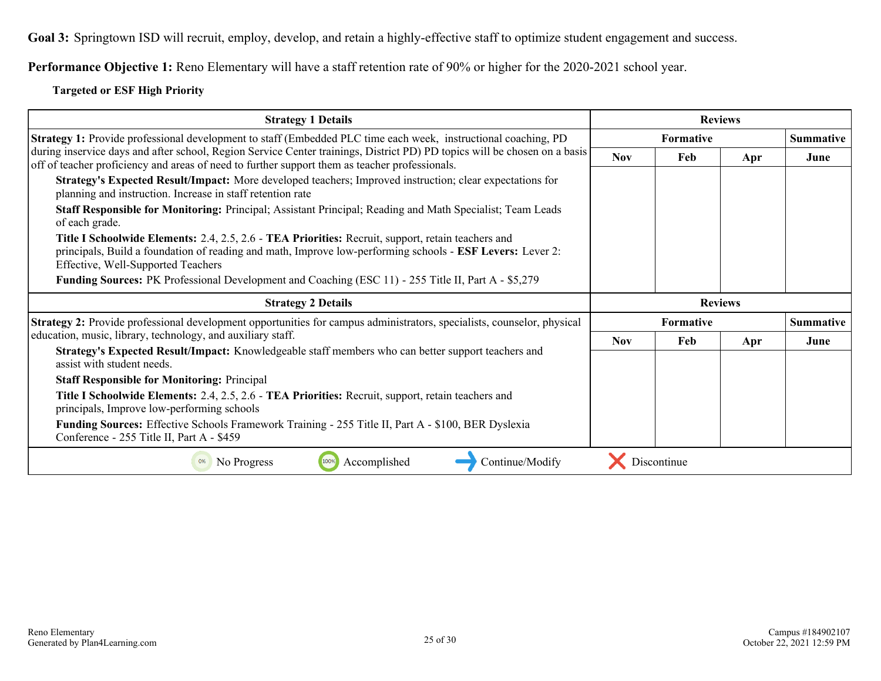**Goal 3:** Springtown ISD will recruit, employ, develop, and retain a highly-effective staff to optimize student engagement and success.

**Performance Objective 1:** Reno Elementary will have a staff retention rate of 90% or higher for the 2020-2021 school year.

#### **Targeted or ESF High Priority**

| <b>Strategy 1 Details</b>                                                                                                                                                                                                                                           | <b>Reviews</b>   |                  |     |                  |
|---------------------------------------------------------------------------------------------------------------------------------------------------------------------------------------------------------------------------------------------------------------------|------------------|------------------|-----|------------------|
| Strategy 1: Provide professional development to staff (Embedded PLC time each week, instructional coaching, PD                                                                                                                                                      | <b>Formative</b> |                  |     | <b>Summative</b> |
| during inservice days and after school, Region Service Center trainings, District PD) PD topics will be chosen on a basis<br>off of teacher proficiency and areas of need to further support them as teacher professionals.                                         | <b>Nov</b>       | Feb              | Apr | June             |
| Strategy's Expected Result/Impact: More developed teachers; Improved instruction; clear expectations for<br>planning and instruction. Increase in staff retention rate                                                                                              |                  |                  |     |                  |
| <b>Staff Responsible for Monitoring:</b> Principal; Assistant Principal; Reading and Math Specialist; Team Leads<br>of each grade.                                                                                                                                  |                  |                  |     |                  |
| <b>Title I Schoolwide Elements:</b> 2.4, 2.5, 2.6 - <b>TEA Priorities:</b> Recruit, support, retain teachers and<br>principals, Build a foundation of reading and math, Improve low-performing schools - ESF Levers: Lever 2:<br>Effective, Well-Supported Teachers |                  |                  |     |                  |
| <b>Funding Sources:</b> PK Professional Development and Coaching (ESC 11) - 255 Title II, Part A - \$5,279                                                                                                                                                          |                  |                  |     |                  |
|                                                                                                                                                                                                                                                                     |                  |                  |     |                  |
| <b>Strategy 2 Details</b>                                                                                                                                                                                                                                           |                  | <b>Reviews</b>   |     |                  |
| Strategy 2: Provide professional development opportunities for campus administrators, specialists, counselor, physical                                                                                                                                              |                  | <b>Formative</b> |     | <b>Summative</b> |
| education, music, library, technology, and auxiliary staff.                                                                                                                                                                                                         | <b>Nov</b>       | Feb              | Apr | June             |
| Strategy's Expected Result/Impact: Knowledgeable staff members who can better support teachers and<br>assist with student needs.                                                                                                                                    |                  |                  |     |                  |
| <b>Staff Responsible for Monitoring: Principal</b>                                                                                                                                                                                                                  |                  |                  |     |                  |
| Title I Schoolwide Elements: 2.4, 2.5, 2.6 - TEA Priorities: Recruit, support, retain teachers and<br>principals, Improve low-performing schools                                                                                                                    |                  |                  |     |                  |
| Funding Sources: Effective Schools Framework Training - 255 Title II, Part A - \$100, BER Dyslexia<br>Conference - 255 Title II, Part A - \$459                                                                                                                     |                  |                  |     |                  |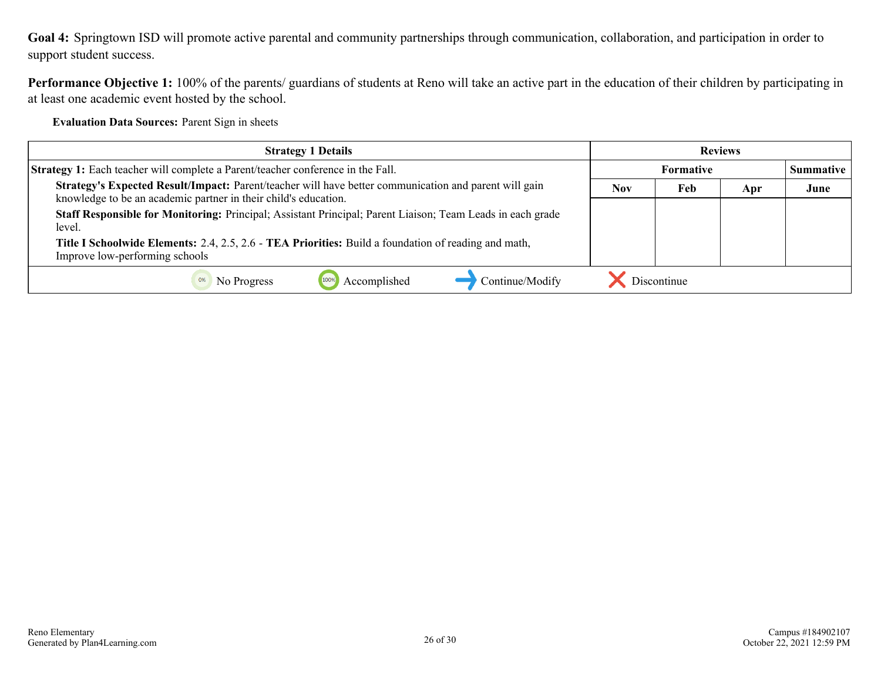**Goal 4:** Springtown ISD will promote active parental and community partnerships through communication, collaboration, and participation in order to support student success.

**Performance Objective 1:** 100% of the parents/ guardians of students at Reno will take an active part in the education of their children by participating in at least one academic event hosted by the school.

**Evaluation Data Sources:** Parent Sign in sheets

| <b>Strategy 1 Details</b>                                                                                                                                                | <b>Reviews</b> |             |     |           |
|--------------------------------------------------------------------------------------------------------------------------------------------------------------------------|----------------|-------------|-----|-----------|
| <b>Strategy 1:</b> Each teacher will complete a Parent/teacher conference in the Fall.                                                                                   | Formative      |             |     | Summative |
| Strategy's Expected Result/Impact: Parent/teacher will have better communication and parent will gain<br>knowledge to be an academic partner in their child's education. | <b>Nov</b>     | Feb         | Apr | June      |
| Staff Responsible for Monitoring: Principal; Assistant Principal; Parent Liaison; Team Leads in each grade<br>level.                                                     |                |             |     |           |
| Title I Schoolwide Elements: 2.4, 2.5, 2.6 - TEA Priorities: Build a foundation of reading and math,<br>Improve low-performing schools                                   |                |             |     |           |
| Continue/Modify<br>Accomplished<br>No Progress<br>100%                                                                                                                   |                | Discontinue |     |           |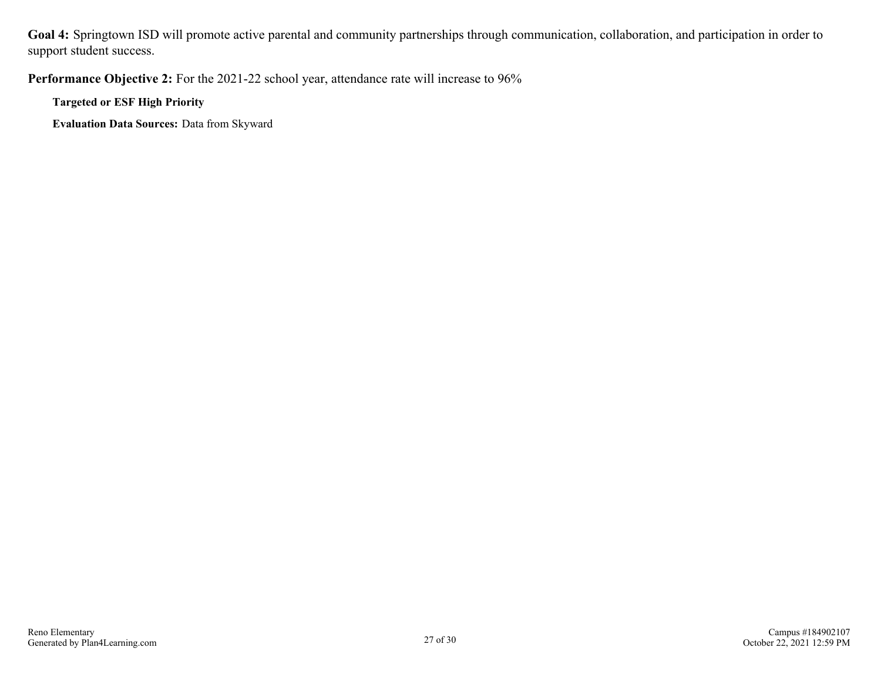**Goal 4:** Springtown ISD will promote active parental and community partnerships through communication, collaboration, and participation in order to support student success.

Performance Objective 2: For the 2021-22 school year, attendance rate will increase to 96%

**Targeted or ESF High Priority**

**Evaluation Data Sources:** Data from Skyward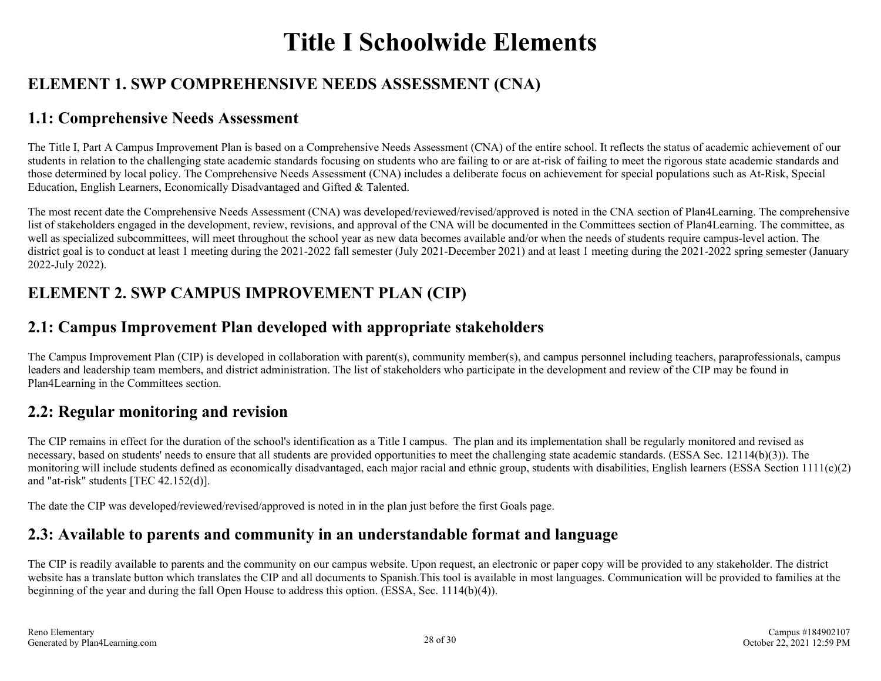# **Title I Schoolwide Elements**

# **ELEMENT 1. SWP COMPREHENSIVE NEEDS ASSESSMENT (CNA)**

## **1.1: Comprehensive Needs Assessment**

The Title I, Part A Campus Improvement Plan is based on a Comprehensive Needs Assessment (CNA) of the entire school. It reflects the status of academic achievement of our students in relation to the challenging state academic standards focusing on students who are failing to or are at-risk of failing to meet the rigorous state academic standards and those determined by local policy. The Comprehensive Needs Assessment (CNA) includes a deliberate focus on achievement for special populations such as At-Risk, Special Education, English Learners, Economically Disadvantaged and Gifted & Talented.

The most recent date the Comprehensive Needs Assessment (CNA) was developed/reviewed/revised/approved is noted in the CNA section of Plan4Learning. The comprehensive list of stakeholders engaged in the development, review, revisions, and approval of the CNA will be documented in the Committees section of Plan4Learning. The committee, as well as specialized subcommittees, will meet throughout the school year as new data becomes available and/or when the needs of students require campus-level action. The district goal is to conduct at least 1 meeting during the 2021-2022 fall semester (July 2021-December 2021) and at least 1 meeting during the 2021-2022 spring semester (January 2022-July 2022).

# **ELEMENT 2. SWP CAMPUS IMPROVEMENT PLAN (CIP)**

# **2.1: Campus Improvement Plan developed with appropriate stakeholders**

The Campus Improvement Plan (CIP) is developed in collaboration with parent(s), community member(s), and campus personnel including teachers, paraprofessionals, campus leaders and leadership team members, and district administration. The list of stakeholders who participate in the development and review of the CIP may be found in Plan4Learning in the Committees section.

# **2.2: Regular monitoring and revision**

The CIP remains in effect for the duration of the school's identification as a Title I campus. The plan and its implementation shall be regularly monitored and revised as necessary, based on students' needs to ensure that all students are provided opportunities to meet the challenging state academic standards. (ESSA Sec. 12114(b)(3)). The monitoring will include students defined as economically disadvantaged, each major racial and ethnic group, students with disabilities, English learners (ESSA Section 1111(c)(2) and "at-risk" students [TEC 42.152(d)].

The date the CIP was developed/reviewed/revised/approved is noted in in the plan just before the first Goals page.

# **2.3: Available to parents and community in an understandable format and language**

The CIP is readily available to parents and the community on our campus website. Upon request, an electronic or paper copy will be provided to any stakeholder. The district website has a translate button which translates the CIP and all documents to Spanish.This tool is available in most languages. Communication will be provided to families at the beginning of the year and during the fall Open House to address this option. (ESSA, Sec. 1114(b)(4)).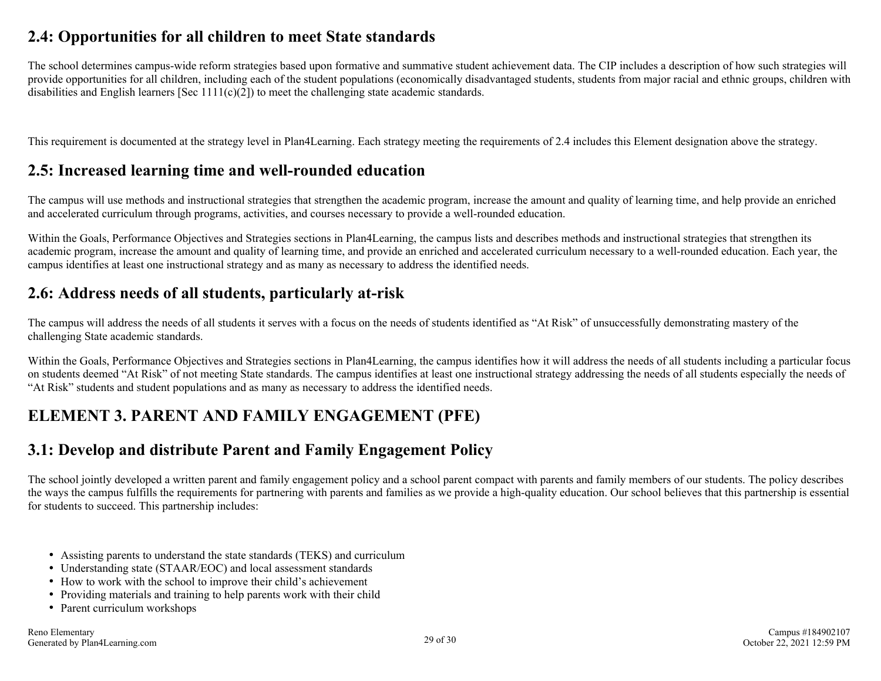## **2.4: Opportunities for all children to meet State standards**

The school determines campus-wide reform strategies based upon formative and summative student achievement data. The CIP includes a description of how such strategies will provide opportunities for all children, including each of the student populations (economically disadvantaged students, students from major racial and ethnic groups, children with disabilities and English learners [Sec  $1111(c)(2)$ ] to meet the challenging state academic standards.

This requirement is documented at the strategy level in Plan4Learning. Each strategy meeting the requirements of 2.4 includes this Element designation above the strategy.

## **2.5: Increased learning time and well-rounded education**

The campus will use methods and instructional strategies that strengthen the academic program, increase the amount and quality of learning time, and help provide an enriched and accelerated curriculum through programs, activities, and courses necessary to provide a well-rounded education.

Within the Goals, Performance Objectives and Strategies sections in Plan4Learning, the campus lists and describes methods and instructional strategies that strengthen its academic program, increase the amount and quality of learning time, and provide an enriched and accelerated curriculum necessary to a well-rounded education. Each year, the campus identifies at least one instructional strategy and as many as necessary to address the identified needs.

## **2.6: Address needs of all students, particularly at-risk**

The campus will address the needs of all students it serves with a focus on the needs of students identified as "At Risk" of unsuccessfully demonstrating mastery of the challenging State academic standards.

Within the Goals, Performance Objectives and Strategies sections in Plan4Learning, the campus identifies how it will address the needs of all students including a particular focus on students deemed "At Risk" of not meeting State standards. The campus identifies at least one instructional strategy addressing the needs of all students especially the needs of "At Risk" students and student populations and as many as necessary to address the identified needs.

# **ELEMENT 3. PARENT AND FAMILY ENGAGEMENT (PFE)**

## **3.1: Develop and distribute Parent and Family Engagement Policy**

The school jointly developed a written parent and family engagement policy and a school parent compact with parents and family members of our students. The policy describes the ways the campus fulfills the requirements for partnering with parents and families as we provide a high-quality education. Our school believes that this partnership is essential for students to succeed. This partnership includes:

- Assisting parents to understand the state standards (TEKS) and curriculum
- Understanding state (STAAR/EOC) and local assessment standards
- How to work with the school to improve their child's achievement
- Providing materials and training to help parents work with their child
- Parent curriculum workshops